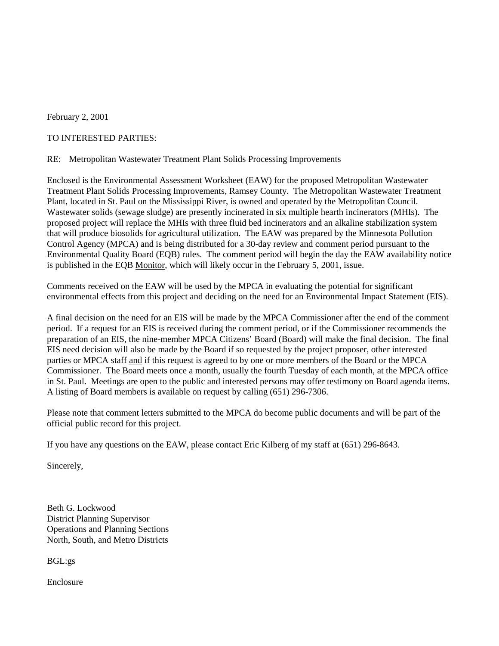February 2, 2001

#### TO INTERESTED PARTIES:

#### RE: Metropolitan Wastewater Treatment Plant Solids Processing Improvements

Enclosed is the Environmental Assessment Worksheet (EAW) for the proposed Metropolitan Wastewater Treatment Plant Solids Processing Improvements, Ramsey County. The Metropolitan Wastewater Treatment Plant, located in St. Paul on the Mississippi River, is owned and operated by the Metropolitan Council. Wastewater solids (sewage sludge) are presently incinerated in six multiple hearth incinerators (MHIs). The proposed project will replace the MHIs with three fluid bed incinerators and an alkaline stabilization system that will produce biosolids for agricultural utilization. The EAW was prepared by the Minnesota Pollution Control Agency (MPCA) and is being distributed for a 30-day review and comment period pursuant to the Environmental Quality Board (EQB) rules. The comment period will begin the day the EAW availability notice is published in the EQB Monitor, which will likely occur in the February 5, 2001, issue.

Comments received on the EAW will be used by the MPCA in evaluating the potential for significant environmental effects from this project and deciding on the need for an Environmental Impact Statement (EIS).

A final decision on the need for an EIS will be made by the MPCA Commissioner after the end of the comment period. If a request for an EIS is received during the comment period, or if the Commissioner recommends the preparation of an EIS, the nine-member MPCA Citizens' Board (Board) will make the final decision. The final EIS need decision will also be made by the Board if so requested by the project proposer, other interested parties or MPCA staff and if this request is agreed to by one or more members of the Board or the MPCA Commissioner. The Board meets once a month, usually the fourth Tuesday of each month, at the MPCA office in St. Paul. Meetings are open to the public and interested persons may offer testimony on Board agenda items. A listing of Board members is available on request by calling (651) 296-7306.

Please note that comment letters submitted to the MPCA do become public documents and will be part of the official public record for this project.

If you have any questions on the EAW, please contact Eric Kilberg of my staff at (651) 296-8643.

Sincerely,

Beth G. Lockwood District Planning Supervisor Operations and Planning Sections North, South, and Metro Districts

BGL:gs

Enclosure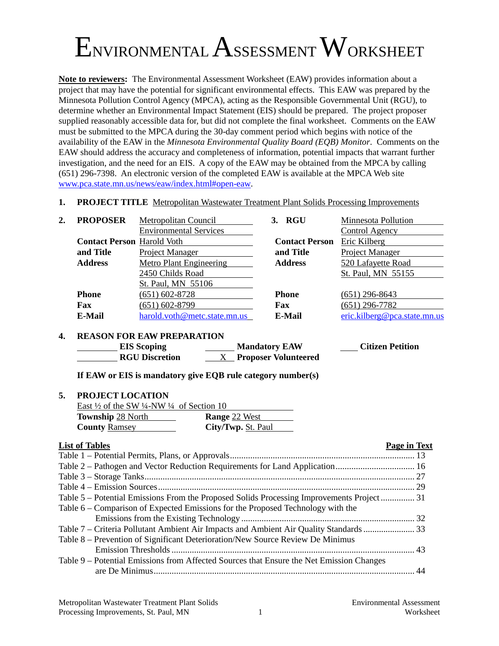# ENVIRONMENTAL ASSESSMENT WORKSHEET

**Note to reviewers:** The Environmental Assessment Worksheet (EAW) provides information about a project that may have the potential for significant environmental effects. This EAW was prepared by the Minnesota Pollution Control Agency (MPCA), acting as the Responsible Governmental Unit (RGU), to determine whether an Environmental Impact Statement (EIS) should be prepared. The project proposer supplied reasonably accessible data for, but did not complete the final worksheet. Comments on the EAW must be submitted to the MPCA during the 30-day comment period which begins with notice of the availability of the EAW in the *Minnesota Environmental Quality Board (EQB) Monitor*. Comments on the EAW should address the accuracy and completeness of information, potential impacts that warrant further investigation, and the need for an EIS. A copy of the EAW may be obtained from the MPCA by calling (651) 296-7398. An electronic version of the completed EAW is available at the MPCA Web site [www.pca.state.mn.us/news/eaw/index.html#open-eaw](http://www.pca.state.mn.us/news/eaw/index.html#open-eaw).

**1. PROJECT TITLE** Metropolitan Wastewater Treatment Plant Solids Processing Improvements

| 2. | <b>PROPOSER</b>                   | Metropolitan Council          | 3. RGU                | <b>Minnesota Pollution</b>   |
|----|-----------------------------------|-------------------------------|-----------------------|------------------------------|
|    |                                   | <b>Environmental Services</b> |                       | Control Agency               |
|    | <b>Contact Person Harold Voth</b> |                               | <b>Contact Person</b> | Eric Kilberg                 |
|    | and Title                         | Project Manager               | and Title             | Project Manager              |
|    | <b>Address</b>                    | Metro Plant Engineering       | <b>Address</b>        | 520 Lafayette Road           |
|    |                                   | 2450 Childs Road              |                       | St. Paul, MN 55155           |
|    |                                   | St. Paul, MN 55106            |                       |                              |
|    | <b>Phone</b>                      | $(651) 602 - 8728$            | <b>Phone</b>          | $(651)$ 296-8643             |
|    | Fax                               | $(651) 602 - 8799$            | Fax                   | $(651)$ 296-7782             |
|    | E-Mail                            | harold.voth@metc.state.mn.us  | E-Mail                | eric.kilberg@pca.state.mn.us |
|    |                                   |                               |                       |                              |

#### **4. REASON FOR EAW PREPARATION**

| <b>EIS</b> Scoping    | <b>Mandatory EAW</b>        | <b>Citizen Petition</b> |
|-----------------------|-----------------------------|-------------------------|
| <b>RGU Discretion</b> | <b>Proposer Volunteered</b> |                         |

**If EAW or EIS is mandatory give EQB rule category number(s)**

#### **5. PROJECT LOCATION**

| East $\frac{1}{2}$ of the SW $\frac{1}{4}$ -NW $\frac{1}{4}$ of Section 10 |                      |
|----------------------------------------------------------------------------|----------------------|
| <b>Township 28 North</b>                                                   | <b>Range 22 West</b> |
| <b>County Ramsey</b>                                                       | City/Twp. St. Paul   |

#### **List of Tables Page in Text**

| Table 5 – Potential Emissions From the Proposed Solids Processing Improvements Project 31 |  |
|-------------------------------------------------------------------------------------------|--|
| Table 6 – Comparison of Expected Emissions for the Proposed Technology with the           |  |
|                                                                                           |  |
| Table 7 – Criteria Pollutant Ambient Air Impacts and Ambient Air Quality Standards  33    |  |
| Table 8 – Prevention of Significant Deterioration/New Source Review De Minimus            |  |
|                                                                                           |  |
| Table 9 – Potential Emissions from Affected Sources that Ensure the Net Emission Changes  |  |
|                                                                                           |  |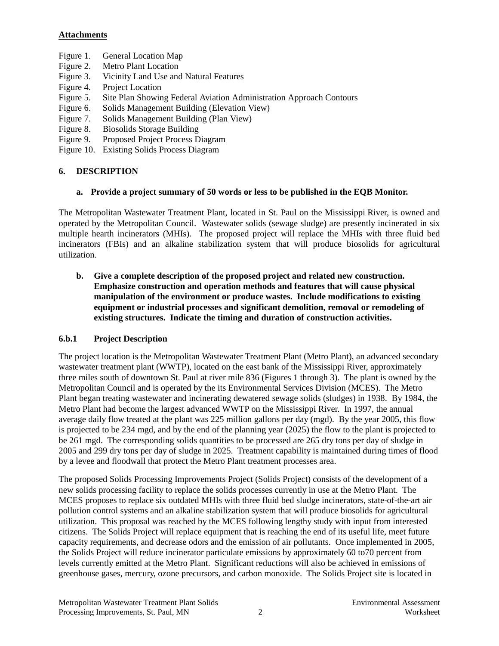#### **Attachments**

- Figure 1. General Location Map
- Figure 2. Metro Plant Location
- Figure 3. Vicinity Land Use and Natural Features
- Figure 4. Project Location
- Figure 5. Site Plan Showing Federal Aviation Administration Approach Contours
- Figure 6. Solids Management Building (Elevation View)
- Figure 7. Solids Management Building (Plan View)
- Figure 8. Biosolids Storage Building
- Figure 9. Proposed Project Process Diagram
- Figure 10. Existing Solids Process Diagram

## **6. DESCRIPTION**

#### **a. Provide a project summary of 50 words or less to be published in the EQB Monitor.**

The Metropolitan Wastewater Treatment Plant, located in St. Paul on the Mississippi River, is owned and operated by the Metropolitan Council. Wastewater solids (sewage sludge) are presently incinerated in six multiple hearth incinerators (MHIs). The proposed project will replace the MHIs with three fluid bed incinerators (FBIs) and an alkaline stabilization system that will produce biosolids for agricultural utilization.

**b. Give a complete description of the proposed project and related new construction. Emphasize construction and operation methods and features that will cause physical manipulation of the environment or produce wastes. Include modifications to existing equipment or industrial processes and significant demolition, removal or remodeling of existing structures. Indicate the timing and duration of construction activities.**

#### **6.b.1 Project Description**

The project location is the Metropolitan Wastewater Treatment Plant (Metro Plant), an advanced secondary wastewater treatment plant (WWTP), located on the east bank of the Mississippi River, approximately three miles south of downtown St. Paul at river mile 836 (Figures 1 through 3). The plant is owned by the Metropolitan Council and is operated by the its Environmental Services Division (MCES). The Metro Plant began treating wastewater and incinerating dewatered sewage solids (sludges) in 1938. By 1984, the Metro Plant had become the largest advanced WWTP on the Mississippi River. In 1997, the annual average daily flow treated at the plant was 225 million gallons per day (mgd). By the year 2005, this flow is projected to be 234 mgd, and by the end of the planning year (2025) the flow to the plant is projected to be 261 mgd. The corresponding solids quantities to be processed are 265 dry tons per day of sludge in 2005 and 299 dry tons per day of sludge in 2025. Treatment capability is maintained during times of flood by a levee and floodwall that protect the Metro Plant treatment processes area.

The proposed Solids Processing Improvements Project (Solids Project) consists of the development of a new solids processing facility to replace the solids processes currently in use at the Metro Plant. The MCES proposes to replace six outdated MHIs with three fluid bed sludge incinerators, state-of-the-art air pollution control systems and an alkaline stabilization system that will produce biosolids for agricultural utilization. This proposal was reached by the MCES following lengthy study with input from interested citizens. The Solids Project will replace equipment that is reaching the end of its useful life, meet future capacity requirements, and decrease odors and the emission of air pollutants. Once implemented in 2005, the Solids Project will reduce incinerator particulate emissions by approximately 60 to70 percent from levels currently emitted at the Metro Plant. Significant reductions will also be achieved in emissions of greenhouse gases, mercury, ozone precursors, and carbon monoxide. The Solids Project site is located in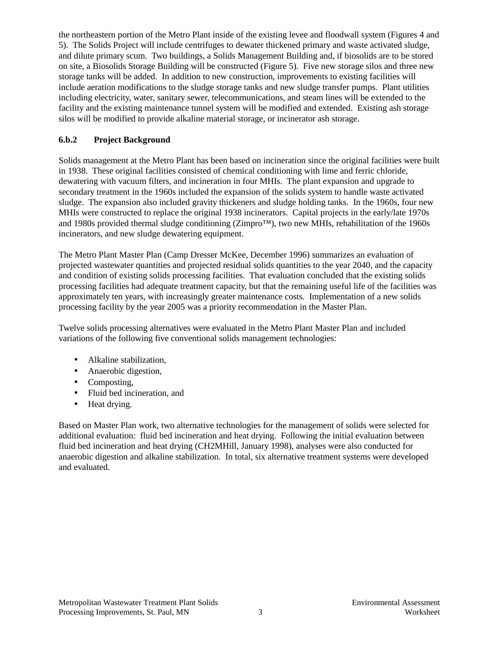the northeastern portion of the Metro Plant inside of the existing levee and floodwall system (Figures 4 and 5). The Solids Project will include centrifuges to dewater thickened primary and waste activated sludge, and dilute primary scum. Two buildings, a Solids Management Building and, if biosolids are to be stored on site, a Biosolids Storage Building will be constructed (Figure 5). Five new storage silos and three new storage tanks will be added. In addition to new construction, improvements to existing facilities will include aeration modifications to the sludge storage tanks and new sludge transfer pumps. Plant utilities including electricity, water, sanitary sewer, telecommunications, and steam lines will be extended to the facility and the existing maintenance tunnel system will be modified and extended. Existing ash storage silos will be modified to provide alkaline material storage, or incinerator ash storage.

## **6.b.2 Project Background**

Solids management at the Metro Plant has been based on incineration since the original facilities were built in 1938. These original facilities consisted of chemical conditioning with lime and ferric chloride, dewatering with vacuum filters, and incineration in four MHIs. The plant expansion and upgrade to secondary treatment in the 1960s included the expansion of the solids system to handle waste activated sludge. The expansion also included gravity thickeners and sludge holding tanks. In the 1960s, four new MHIs were constructed to replace the original 1938 incinerators. Capital projects in the early/late 1970s and 1980s provided thermal sludge conditioning (Zimpro™), two new MHIs, rehabilitation of the 1960s incinerators, and new sludge dewatering equipment.

The Metro Plant Master Plan (Camp Dresser McKee, December 1996) summarizes an evaluation of projected wastewater quantities and projected residual solids quantities to the year 2040, and the capacity and condition of existing solids processing facilities. That evaluation concluded that the existing solids processing facilities had adequate treatment capacity, but that the remaining useful life of the facilities was approximately ten years, with increasingly greater maintenance costs. Implementation of a new solids processing facility by the year 2005 was a priority recommendation in the Master Plan.

Twelve solids processing alternatives were evaluated in the Metro Plant Master Plan and included variations of the following five conventional solids management technologies:

- Alkaline stabilization,
- Anaerobic digestion,
- Composting,
- Fluid bed incineration, and
- Heat drying.

Based on Master Plan work, two alternative technologies for the management of solids were selected for additional evaluation: fluid bed incineration and heat drying. Following the initial evaluation between fluid bed incineration and heat drying (CH2MHill, January 1998), analyses were also conducted for anaerobic digestion and alkaline stabilization. In total, six alternative treatment systems were developed and evaluated.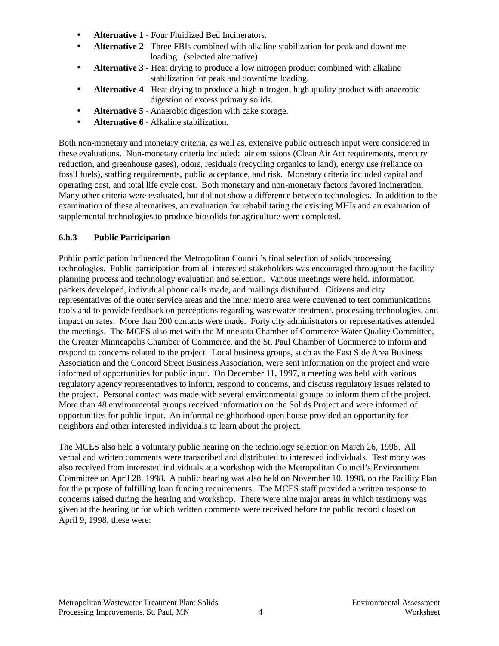- **Alternative 1** Four Fluidized Bed Incinerators.
- **Alternative 2** Three FBIs combined with alkaline stabilization for peak and downtime loading. (selected alternative)
- **Alternative 3** Heat drying to produce a low nitrogen product combined with alkaline stabilization for peak and downtime loading.
- **Alternative 4** Heat drying to produce a high nitrogen, high quality product with anaerobic digestion of excess primary solids.
- **Alternative 5** Anaerobic digestion with cake storage.
- **Alternative 6** Alkaline stabilization.

Both non-monetary and monetary criteria, as well as, extensive public outreach input were considered in these evaluations. Non-monetary criteria included: air emissions (Clean Air Act requirements, mercury reduction, and greenhouse gases), odors, residuals (recycling organics to land), energy use (reliance on fossil fuels), staffing requirements, public acceptance, and risk. Monetary criteria included capital and operating cost, and total life cycle cost. Both monetary and non-monetary factors favored incineration. Many other criteria were evaluated, but did not show a difference between technologies. In addition to the examination of these alternatives, an evaluation for rehabilitating the existing MHIs and an evaluation of supplemental technologies to produce biosolids for agriculture were completed.

## **6.b.3 Public Participation**

Public participation influenced the Metropolitan Council's final selection of solids processing technologies. Public participation from all interested stakeholders was encouraged throughout the facility planning process and technology evaluation and selection. Various meetings were held, information packets developed, individual phone calls made, and mailings distributed. Citizens and city representatives of the outer service areas and the inner metro area were convened to test communications tools and to provide feedback on perceptions regarding wastewater treatment, processing technologies, and impact on rates. More than 200 contacts were made. Forty city administrators or representatives attended the meetings. The MCES also met with the Minnesota Chamber of Commerce Water Quality Committee, the Greater Minneapolis Chamber of Commerce, and the St. Paul Chamber of Commerce to inform and respond to concerns related to the project. Local business groups, such as the East Side Area Business Association and the Concord Street Business Association, were sent information on the project and were informed of opportunities for public input. On December 11, 1997, a meeting was held with various regulatory agency representatives to inform, respond to concerns, and discuss regulatory issues related to the project. Personal contact was made with several environmental groups to inform them of the project. More than 48 environmental groups received information on the Solids Project and were informed of opportunities for public input. An informal neighborhood open house provided an opportunity for neighbors and other interested individuals to learn about the project.

The MCES also held a voluntary public hearing on the technology selection on March 26, 1998. All verbal and written comments were transcribed and distributed to interested individuals. Testimony was also received from interested individuals at a workshop with the Metropolitan Council's Environment Committee on April 28, 1998. A public hearing was also held on November 10, 1998, on the Facility Plan for the purpose of fulfilling loan funding requirements. The MCES staff provided a written response to concerns raised during the hearing and workshop. There were nine major areas in which testimony was given at the hearing or for which written comments were received before the public record closed on April 9, 1998, these were: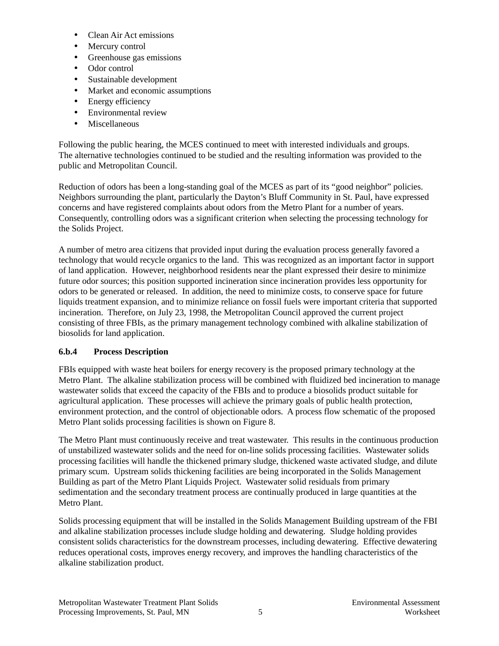- Clean Air Act emissions
- Mercury control
- Greenhouse gas emissions
- Odor control
- Sustainable development
- Market and economic assumptions
- Energy efficiency
- Environmental review
- Miscellaneous

Following the public hearing, the MCES continued to meet with interested individuals and groups. The alternative technologies continued to be studied and the resulting information was provided to the public and Metropolitan Council.

Reduction of odors has been a long-standing goal of the MCES as part of its "good neighbor" policies. Neighbors surrounding the plant, particularly the Dayton's Bluff Community in St. Paul, have expressed concerns and have registered complaints about odors from the Metro Plant for a number of years. Consequently, controlling odors was a significant criterion when selecting the processing technology for the Solids Project.

A number of metro area citizens that provided input during the evaluation process generally favored a technology that would recycle organics to the land. This was recognized as an important factor in support of land application. However, neighborhood residents near the plant expressed their desire to minimize future odor sources; this position supported incineration since incineration provides less opportunity for odors to be generated or released. In addition, the need to minimize costs, to conserve space for future liquids treatment expansion, and to minimize reliance on fossil fuels were important criteria that supported incineration. Therefore, on July 23, 1998, the Metropolitan Council approved the current project consisting of three FBIs, as the primary management technology combined with alkaline stabilization of biosolids for land application.

#### **6.b.4 Process Description**

FBIs equipped with waste heat boilers for energy recovery is the proposed primary technology at the Metro Plant. The alkaline stabilization process will be combined with fluidized bed incineration to manage wastewater solids that exceed the capacity of the FBIs and to produce a biosolids product suitable for agricultural application. These processes will achieve the primary goals of public health protection, environment protection, and the control of objectionable odors. A process flow schematic of the proposed Metro Plant solids processing facilities is shown on Figure 8.

The Metro Plant must continuously receive and treat wastewater. This results in the continuous production of unstabilized wastewater solids and the need for on-line solids processing facilities. Wastewater solids processing facilities will handle the thickened primary sludge, thickened waste activated sludge, and dilute primary scum. Upstream solids thickening facilities are being incorporated in the Solids Management Building as part of the Metro Plant Liquids Project. Wastewater solid residuals from primary sedimentation and the secondary treatment process are continually produced in large quantities at the Metro Plant.

Solids processing equipment that will be installed in the Solids Management Building upstream of the FBI and alkaline stabilization processes include sludge holding and dewatering. Sludge holding provides consistent solids characteristics for the downstream processes, including dewatering. Effective dewatering reduces operational costs, improves energy recovery, and improves the handling characteristics of the alkaline stabilization product.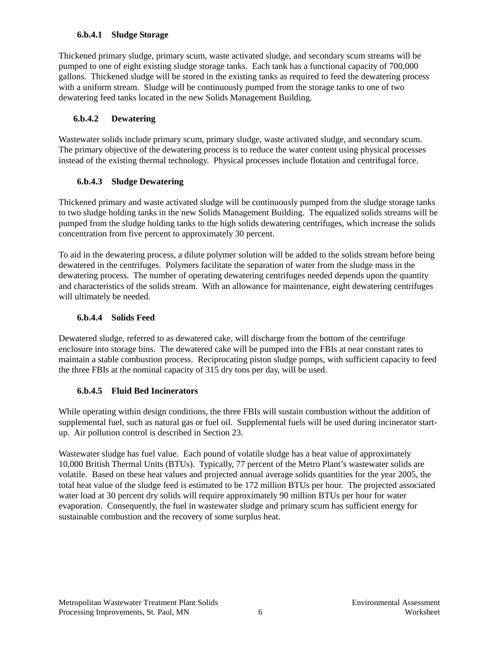#### **6.b.4.1 Sludge Storage**

Thickened primary sludge, primary scum, waste activated sludge, and secondary scum streams will be pumped to one of eight existing sludge storage tanks. Each tank has a functional capacity of 700,000 gallons. Thickened sludge will be stored in the existing tanks as required to feed the dewatering process with a uniform stream. Sludge will be continuously pumped from the storage tanks to one of two dewatering feed tanks located in the new Solids Management Building.

#### **6.b.4.2 Dewatering**

Wastewater solids include primary scum, primary sludge, waste activated sludge, and secondary scum. The primary objective of the dewatering process is to reduce the water content using physical processes instead of the existing thermal technology. Physical processes include flotation and centrifugal force.

#### **6.b.4.3 Sludge Dewatering**

Thickened primary and waste activated sludge will be continuously pumped from the sludge storage tanks to two sludge holding tanks in the new Solids Management Building. The equalized solids streams will be pumped from the sludge holding tanks to the high solids dewatering centrifuges, which increase the solids concentration from five percent to approximately 30 percent.

To aid in the dewatering process, a dilute polymer solution will be added to the solids stream before being dewatered in the centrifuges. Polymers facilitate the separation of water from the sludge mass in the dewatering process. The number of operating dewatering centrifuges needed depends upon the quantity and characteristics of the solids stream. With an allowance for maintenance, eight dewatering centrifuges will ultimately be needed.

#### **6.b.4.4 Solids Feed**

Dewatered sludge, referred to as dewatered cake, will discharge from the bottom of the centrifuge enclosure into storage bins. The dewatered cake will be pumped into the FBIs at near constant rates to maintain a stable combustion process. Reciprocating piston sludge pumps, with sufficient capacity to feed the three FBIs at the nominal capacity of 315 dry tons per day, will be used.

# **6.b.4.5 Fluid Bed Incinerators**

While operating within design conditions, the three FBIs will sustain combustion without the addition of supplemental fuel, such as natural gas or fuel oil. Supplemental fuels will be used during incinerator startup. Air pollution control is described in Section 23.

Wastewater sludge has fuel value. Each pound of volatile sludge has a heat value of approximately 10,000 British Thermal Units (BTUs). Typically, 77 percent of the Metro Plant's wastewater solids are volatile. Based on these heat values and projected annual average solids quantities for the year 2005, the total heat value of the sludge feed is estimated to be 172 million BTUs per hour. The projected associated water load at 30 percent dry solids will require approximately 90 million BTUs per hour for water evaporation. Consequently, the fuel in wastewater sludge and primary scum has sufficient energy for sustainable combustion and the recovery of some surplus heat.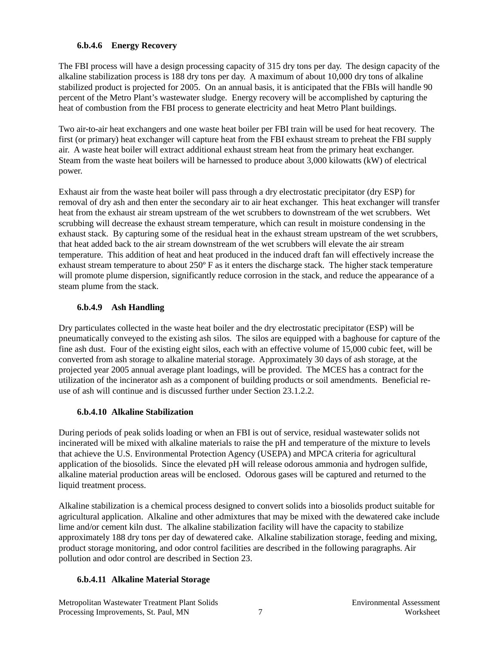#### **6.b.4.6 Energy Recovery**

The FBI process will have a design processing capacity of 315 dry tons per day. The design capacity of the alkaline stabilization process is 188 dry tons per day. A maximum of about 10,000 dry tons of alkaline stabilized product is projected for 2005. On an annual basis, it is anticipated that the FBIs will handle 90 percent of the Metro Plant's wastewater sludge. Energy recovery will be accomplished by capturing the heat of combustion from the FBI process to generate electricity and heat Metro Plant buildings.

Two air-to-air heat exchangers and one waste heat boiler per FBI train will be used for heat recovery. The first (or primary) heat exchanger will capture heat from the FBI exhaust stream to preheat the FBI supply air. A waste heat boiler will extract additional exhaust stream heat from the primary heat exchanger. Steam from the waste heat boilers will be harnessed to produce about 3,000 kilowatts (kW) of electrical power.

Exhaust air from the waste heat boiler will pass through a dry electrostatic precipitator (dry ESP) for removal of dry ash and then enter the secondary air to air heat exchanger. This heat exchanger will transfer heat from the exhaust air stream upstream of the wet scrubbers to downstream of the wet scrubbers. Wet scrubbing will decrease the exhaust stream temperature, which can result in moisture condensing in the exhaust stack. By capturing some of the residual heat in the exhaust stream upstream of the wet scrubbers, that heat added back to the air stream downstream of the wet scrubbers will elevate the air stream temperature. This addition of heat and heat produced in the induced draft fan will effectively increase the exhaust stream temperature to about 250º F as it enters the discharge stack. The higher stack temperature will promote plume dispersion, significantly reduce corrosion in the stack, and reduce the appearance of a steam plume from the stack.

#### **6.b.4.9 Ash Handling**

Dry particulates collected in the waste heat boiler and the dry electrostatic precipitator (ESP) will be pneumatically conveyed to the existing ash silos. The silos are equipped with a baghouse for capture of the fine ash dust. Four of the existing eight silos, each with an effective volume of 15,000 cubic feet, will be converted from ash storage to alkaline material storage. Approximately 30 days of ash storage, at the projected year 2005 annual average plant loadings, will be provided. The MCES has a contract for the utilization of the incinerator ash as a component of building products or soil amendments. Beneficial reuse of ash will continue and is discussed further under Section 23.1.2.2.

#### **6.b.4.10 Alkaline Stabilization**

During periods of peak solids loading or when an FBI is out of service, residual wastewater solids not incinerated will be mixed with alkaline materials to raise the pH and temperature of the mixture to levels that achieve the U.S. Environmental Protection Agency (USEPA) and MPCA criteria for agricultural application of the biosolids. Since the elevated pH will release odorous ammonia and hydrogen sulfide, alkaline material production areas will be enclosed. Odorous gases will be captured and returned to the liquid treatment process.

Alkaline stabilization is a chemical process designed to convert solids into a biosolids product suitable for agricultural application. Alkaline and other admixtures that may be mixed with the dewatered cake include lime and/or cement kiln dust. The alkaline stabilization facility will have the capacity to stabilize approximately 188 dry tons per day of dewatered cake. Alkaline stabilization storage, feeding and mixing, product storage monitoring, and odor control facilities are described in the following paragraphs. Air pollution and odor control are described in Section 23.

#### **6.b.4.11 Alkaline Material Storage**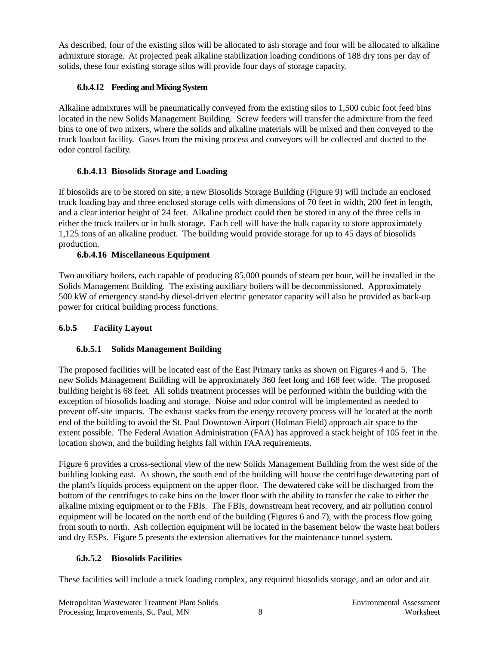As described, four of the existing silos will be allocated to ash storage and four will be allocated to alkaline admixture storage. At projected peak alkaline stabilization loading conditions of 188 dry tons per day of solids, these four existing storage silos will provide four days of storage capacity.

## **6.b.4.12 Feeding and Mixing System**

Alkaline admixtures will be pneumatically conveyed from the existing silos to 1,500 cubic foot feed bins located in the new Solids Management Building. Screw feeders will transfer the admixture from the feed bins to one of two mixers, where the solids and alkaline materials will be mixed and then conveyed to the truck loadout facility. Gases from the mixing process and conveyors will be collected and ducted to the odor control facility.

## **6.b.4.13 Biosolids Storage and Loading**

If biosolids are to be stored on site, a new Biosolids Storage Building (Figure 9) will include an enclosed truck loading bay and three enclosed storage cells with dimensions of 70 feet in width, 200 feet in length, and a clear interior height of 24 feet. Alkaline product could then be stored in any of the three cells in either the truck trailers or in bulk storage. Each cell will have the bulk capacity to store approximately 1,125 tons of an alkaline product. The building would provide storage for up to 45 days of biosolids production.

## **6.b.4.16 Miscellaneous Equipment**

Two auxiliary boilers, each capable of producing 85,000 pounds of steam per hour, will be installed in the Solids Management Building. The existing auxiliary boilers will be decommissioned. Approximately 500 kW of emergency stand-by diesel-driven electric generator capacity will also be provided as back-up power for critical building process functions.

# **6.b.5 Facility Layout**

# **6.b.5.1 Solids Management Building**

The proposed facilities will be located east of the East Primary tanks as shown on Figures 4 and 5. The new Solids Management Building will be approximately 360 feet long and 168 feet wide. The proposed building height is 68 feet. All solids treatment processes will be performed within the building with the exception of biosolids loading and storage. Noise and odor control will be implemented as needed to prevent off-site impacts. The exhaust stacks from the energy recovery process will be located at the north end of the building to avoid the St. Paul Downtown Airport (Holman Field) approach air space to the extent possible. The Federal Aviation Administration (FAA) has approved a stack height of 105 feet in the location shown, and the building heights fall within FAA requirements.

Figure 6 provides a cross-sectional view of the new Solids Management Building from the west side of the building looking east. As shown, the south end of the building will house the centrifuge dewatering part of the plant's liquids process equipment on the upper floor. The dewatered cake will be discharged from the bottom of the centrifuges to cake bins on the lower floor with the ability to transfer the cake to either the alkaline mixing equipment or to the FBIs. The FBIs, downstream heat recovery, and air pollution control equipment will be located on the north end of the building (Figures 6 and 7), with the process flow going from south to north. Ash collection equipment will be located in the basement below the waste heat boilers and dry ESPs. Figure 5 presents the extension alternatives for the maintenance tunnel system.

#### **6.b.5.2 Biosolids Facilities**

These facilities will include a truck loading complex, any required biosolids storage, and an odor and air

Metropolitan Wastewater Treatment Plant Solids Environmental Assessment Processing Improvements, St. Paul, MN 8 8 8 8 Worksheet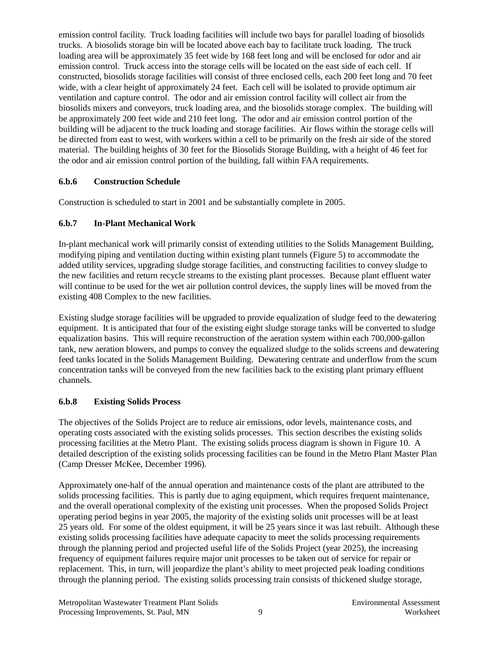emission control facility. Truck loading facilities will include two bays for parallel loading of biosolids trucks. A biosolids storage bin will be located above each bay to facilitate truck loading. The truck loading area will be approximately 35 feet wide by 168 feet long and will be enclosed for odor and air emission control. Truck access into the storage cells will be located on the east side of each cell. If constructed, biosolids storage facilities will consist of three enclosed cells, each 200 feet long and 70 feet wide, with a clear height of approximately 24 feet. Each cell will be isolated to provide optimum air ventilation and capture control. The odor and air emission control facility will collect air from the biosolids mixers and conveyors, truck loading area, and the biosolids storage complex. The building will be approximately 200 feet wide and 210 feet long. The odor and air emission control portion of the building will be adjacent to the truck loading and storage facilities. Air flows within the storage cells will be directed from east to west, with workers within a cell to be primarily on the fresh air side of the stored material. The building heights of 30 feet for the Biosolids Storage Building, with a height of 46 feet for the odor and air emission control portion of the building, fall within FAA requirements.

#### **6.b.6 Construction Schedule**

Construction is scheduled to start in 2001 and be substantially complete in 2005.

# **6.b.7 In-Plant Mechanical Work**

In-plant mechanical work will primarily consist of extending utilities to the Solids Management Building, modifying piping and ventilation ducting within existing plant tunnels (Figure 5) to accommodate the added utility services, upgrading sludge storage facilities, and constructing facilities to convey sludge to the new facilities and return recycle streams to the existing plant processes. Because plant effluent water will continue to be used for the wet air pollution control devices, the supply lines will be moved from the existing 408 Complex to the new facilities.

Existing sludge storage facilities will be upgraded to provide equalization of sludge feed to the dewatering equipment. It is anticipated that four of the existing eight sludge storage tanks will be converted to sludge equalization basins. This will require reconstruction of the aeration system within each 700,000-gallon tank, new aeration blowers, and pumps to convey the equalized sludge to the solids screens and dewatering feed tanks located in the Solids Management Building. Dewatering centrate and underflow from the scum concentration tanks will be conveyed from the new facilities back to the existing plant primary effluent channels.

# **6.b.8 Existing Solids Process**

The objectives of the Solids Project are to reduce air emissions, odor levels, maintenance costs, and operating costs associated with the existing solids processes. This section describes the existing solids processing facilities at the Metro Plant. The existing solids process diagram is shown in Figure 10. A detailed description of the existing solids processing facilities can be found in the Metro Plant Master Plan (Camp Dresser McKee, December 1996).

Approximately one-half of the annual operation and maintenance costs of the plant are attributed to the solids processing facilities. This is partly due to aging equipment, which requires frequent maintenance, and the overall operational complexity of the existing unit processes. When the proposed Solids Project operating period begins in year 2005, the majority of the existing solids unit processes will be at least 25 years old. For some of the oldest equipment, it will be 25 years since it was last rebuilt. Although these existing solids processing facilities have adequate capacity to meet the solids processing requirements through the planning period and projected useful life of the Solids Project (year 2025), the increasing frequency of equipment failures require major unit processes to be taken out of service for repair or replacement. This, in turn, will jeopardize the plant's ability to meet projected peak loading conditions through the planning period. The existing solids processing train consists of thickened sludge storage,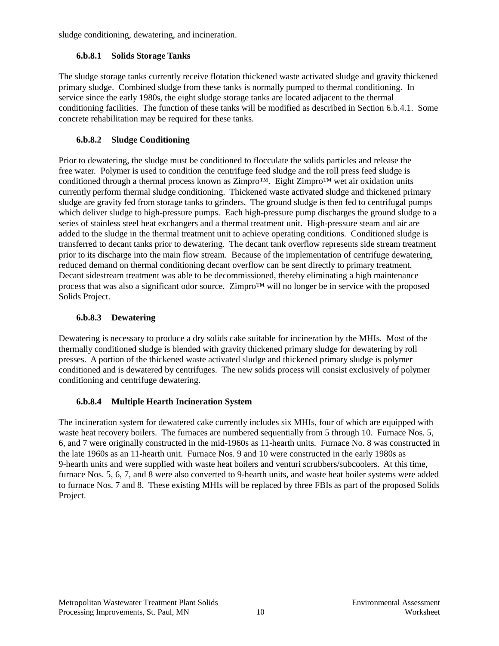sludge conditioning, dewatering, and incineration.

## **6.b.8.1 Solids Storage Tanks**

The sludge storage tanks currently receive flotation thickened waste activated sludge and gravity thickened primary sludge. Combined sludge from these tanks is normally pumped to thermal conditioning. In service since the early 1980s, the eight sludge storage tanks are located adjacent to the thermal conditioning facilities. The function of these tanks will be modified as described in Section 6.b.4.1. Some concrete rehabilitation may be required for these tanks.

# **6.b.8.2 Sludge Conditioning**

Prior to dewatering, the sludge must be conditioned to flocculate the solids particles and release the free water. Polymer is used to condition the centrifuge feed sludge and the roll press feed sludge is conditioned through a thermal process known as Zimpro™. Eight Zimpro™ wet air oxidation units currently perform thermal sludge conditioning. Thickened waste activated sludge and thickened primary sludge are gravity fed from storage tanks to grinders. The ground sludge is then fed to centrifugal pumps which deliver sludge to high-pressure pumps. Each high-pressure pump discharges the ground sludge to a series of stainless steel heat exchangers and a thermal treatment unit. High-pressure steam and air are added to the sludge in the thermal treatment unit to achieve operating conditions. Conditioned sludge is transferred to decant tanks prior to dewatering. The decant tank overflow represents side stream treatment prior to its discharge into the main flow stream. Because of the implementation of centrifuge dewatering, reduced demand on thermal conditioning decant overflow can be sent directly to primary treatment. Decant sidestream treatment was able to be decommissioned, thereby eliminating a high maintenance process that was also a significant odor source. Zimpro™ will no longer be in service with the proposed Solids Project.

# **6.b.8.3 Dewatering**

Dewatering is necessary to produce a dry solids cake suitable for incineration by the MHIs. Most of the thermally conditioned sludge is blended with gravity thickened primary sludge for dewatering by roll presses. A portion of the thickened waste activated sludge and thickened primary sludge is polymer conditioned and is dewatered by centrifuges. The new solids process will consist exclusively of polymer conditioning and centrifuge dewatering.

# **6.b.8.4 Multiple Hearth Incineration System**

The incineration system for dewatered cake currently includes six MHIs, four of which are equipped with waste heat recovery boilers. The furnaces are numbered sequentially from 5 through 10. Furnace Nos. 5, 6, and 7 were originally constructed in the mid-1960s as 11-hearth units. Furnace No. 8 was constructed in the late 1960s as an 11-hearth unit. Furnace Nos. 9 and 10 were constructed in the early 1980s as 9-hearth units and were supplied with waste heat boilers and venturi scrubbers/subcoolers. At this time, furnace Nos. 5, 6, 7, and 8 were also converted to 9-hearth units, and waste heat boiler systems were added to furnace Nos. 7 and 8. These existing MHIs will be replaced by three FBIs as part of the proposed Solids Project.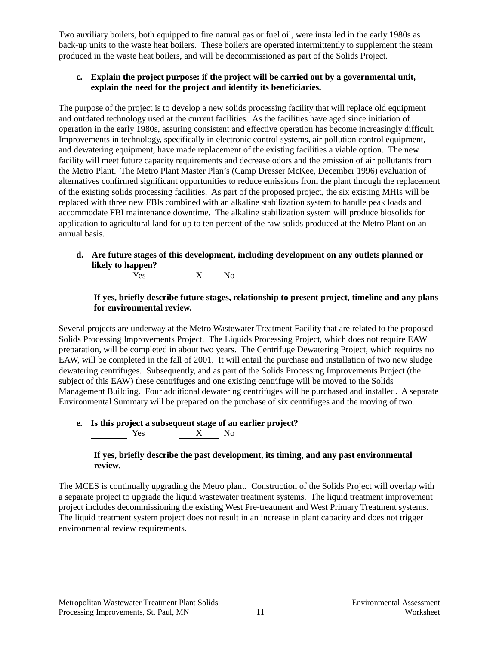Two auxiliary boilers, both equipped to fire natural gas or fuel oil, were installed in the early 1980s as back-up units to the waste heat boilers. These boilers are operated intermittently to supplement the steam produced in the waste heat boilers, and will be decommissioned as part of the Solids Project.

### **c. Explain the project purpose: if the project will be carried out by a governmental unit, explain the need for the project and identify its beneficiaries.**

The purpose of the project is to develop a new solids processing facility that will replace old equipment and outdated technology used at the current facilities. As the facilities have aged since initiation of operation in the early 1980s, assuring consistent and effective operation has become increasingly difficult. Improvements in technology, specifically in electronic control systems, air pollution control equipment, and dewatering equipment, have made replacement of the existing facilities a viable option. The new facility will meet future capacity requirements and decrease odors and the emission of air pollutants from the Metro Plant. The Metro Plant Master Plan's (Camp Dresser McKee, December 1996) evaluation of alternatives confirmed significant opportunities to reduce emissions from the plant through the replacement of the existing solids processing facilities. As part of the proposed project, the six existing MHIs will be replaced with three new FBIs combined with an alkaline stabilization system to handle peak loads and accommodate FBI maintenance downtime. The alkaline stabilization system will produce biosolids for application to agricultural land for up to ten percent of the raw solids produced at the Metro Plant on an annual basis.

# **d. Are future stages of this development, including development on any outlets planned or likely to happen?**

Yes X No

#### **If yes, briefly describe future stages, relationship to present project, timeline and any plans for environmental review.**

Several projects are underway at the Metro Wastewater Treatment Facility that are related to the proposed Solids Processing Improvements Project. The Liquids Processing Project, which does not require EAW preparation, will be completed in about two years. The Centrifuge Dewatering Project, which requires no EAW, will be completed in the fall of 2001. It will entail the purchase and installation of two new sludge dewatering centrifuges. Subsequently, and as part of the Solids Processing Improvements Project (the subject of this EAW) these centrifuges and one existing centrifuge will be moved to the Solids Management Building. Four additional dewatering centrifuges will be purchased and installed. A separate Environmental Summary will be prepared on the purchase of six centrifuges and the moving of two.

### **e. Is this project a subsequent stage of an earlier project?**  ${\bf X}$   $-$  No

#### **If yes, briefly describe the past development, its timing, and any past environmental review.**

The MCES is continually upgrading the Metro plant. Construction of the Solids Project will overlap with a separate project to upgrade the liquid wastewater treatment systems. The liquid treatment improvement project includes decommissioning the existing West Pre-treatment and West Primary Treatment systems. The liquid treatment system project does not result in an increase in plant capacity and does not trigger environmental review requirements.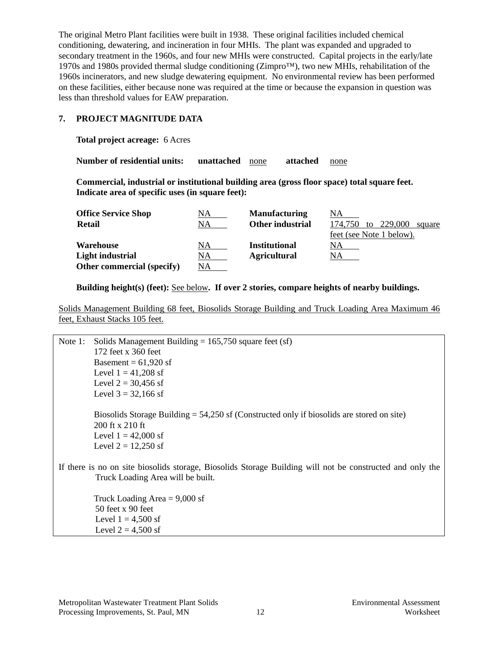The original Metro Plant facilities were built in 1938. These original facilities included chemical conditioning, dewatering, and incineration in four MHIs. The plant was expanded and upgraded to secondary treatment in the 1960s, and four new MHIs were constructed. Capital projects in the early/late 1970s and 1980s provided thermal sludge conditioning ( $\text{Zimpro}^{TM}$ ), two new MHIs, rehabilitation of the 1960s incinerators, and new sludge dewatering equipment. No environmental review has been performed on these facilities, either because none was required at the time or because the expansion in question was less than threshold values for EAW preparation.

#### **7. PROJECT MAGNITUDE DATA**

**Total project acreage:** 6 Acres

**Number of residential units: unattached** none **attached** none

**Commercial, industrial or institutional building area (gross floor space) total square feet. Indicate area of specific uses (in square feet):**

| <b>Office Service Shop</b> | NA. | <b>Manufacturing</b> | NA                                 |
|----------------------------|-----|----------------------|------------------------------------|
| <b>Retail</b>              | NA  | Other industrial     | 229,000<br>174.750<br>to<br>square |
|                            |     |                      | feet (see Note 1 below).           |
| Warehouse                  | NA  | <b>Institutional</b> | NA.                                |
| Light industrial           | NA  | <b>Agricultural</b>  | NA.                                |
| Other commercial (specify) | ΝA  |                      |                                    |

**Building height(s) (feet):** See below**. If over 2 stories, compare heights of nearby buildings.**

Solids Management Building 68 feet, Biosolids Storage Building and Truck Loading Area Maximum 46 feet, Exhaust Stacks 105 feet.

| Note $1$ : | Solids Management Building = $165,750$ square feet (sf)                                                                                        |
|------------|------------------------------------------------------------------------------------------------------------------------------------------------|
|            | 172 feet x 360 feet                                                                                                                            |
|            | Basement = $61,920$ sf                                                                                                                         |
|            | Level $1 = 41,208$ sf                                                                                                                          |
|            | Level $2 = 30,456$ sf                                                                                                                          |
|            | Level $3 = 32,166$ sf                                                                                                                          |
|            | Biosolids Storage Building $= 54,250$ sf (Constructed only if biosolids are stored on site)                                                    |
|            | $200$ ft x $210$ ft                                                                                                                            |
|            | Level $1 = 42,000$ sf                                                                                                                          |
|            | Level $2 = 12,250$ sf                                                                                                                          |
|            | If there is no on site biosolids storage, Biosolids Storage Building will not be constructed and only the<br>Truck Loading Area will be built. |
|            | Truck Loading Area $= 9,000$ sf                                                                                                                |
|            | 50 feet x 90 feet                                                                                                                              |
|            | Level $1 = 4,500$ sf                                                                                                                           |
|            | Level $2 = 4,500$ sf                                                                                                                           |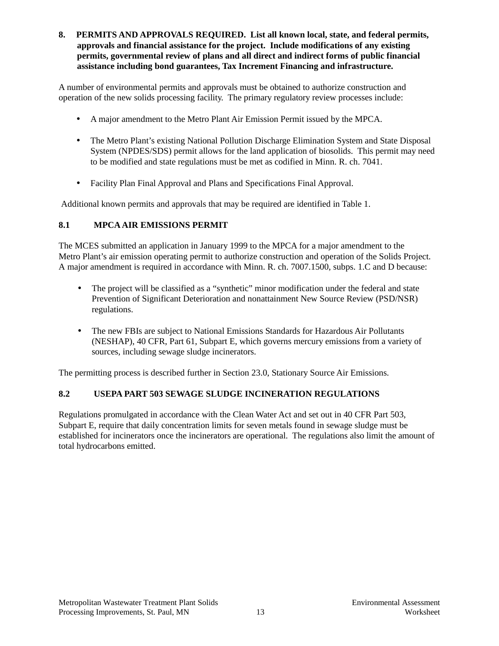**8. PERMITS AND APPROVALS REQUIRED. List all known local, state, and federal permits, approvals and financial assistance for the project. Include modifications of any existing permits, governmental review of plans and all direct and indirect forms of public financial assistance including bond guarantees, Tax Increment Financing and infrastructure.**

A number of environmental permits and approvals must be obtained to authorize construction and operation of the new solids processing facility. The primary regulatory review processes include:

- A major amendment to the Metro Plant Air Emission Permit issued by the MPCA.
- The Metro Plant's existing National Pollution Discharge Elimination System and State Disposal System (NPDES/SDS) permit allows for the land application of biosolids. This permit may need to be modified and state regulations must be met as codified in Minn. R. ch. 7041.
- Facility Plan Final Approval and Plans and Specifications Final Approval.

Additional known permits and approvals that may be required are identified in Table 1.

## **8.1 MPCA AIR EMISSIONS PERMIT**

The MCES submitted an application in January 1999 to the MPCA for a major amendment to the Metro Plant's air emission operating permit to authorize construction and operation of the Solids Project. A major amendment is required in accordance with Minn. R. ch. 7007.1500, subps. 1.C and D because:

- The project will be classified as a "synthetic" minor modification under the federal and state Prevention of Significant Deterioration and nonattainment New Source Review (PSD/NSR) regulations.
- The new FBIs are subject to National Emissions Standards for Hazardous Air Pollutants (NESHAP), 40 CFR, Part 61, Subpart E, which governs mercury emissions from a variety of sources, including sewage sludge incinerators.

The permitting process is described further in Section 23.0, Stationary Source Air Emissions.

# **8.2 USEPA PART 503 SEWAGE SLUDGE INCINERATION REGULATIONS**

Regulations promulgated in accordance with the Clean Water Act and set out in 40 CFR Part 503, Subpart E, require that daily concentration limits for seven metals found in sewage sludge must be established for incinerators once the incinerators are operational. The regulations also limit the amount of total hydrocarbons emitted.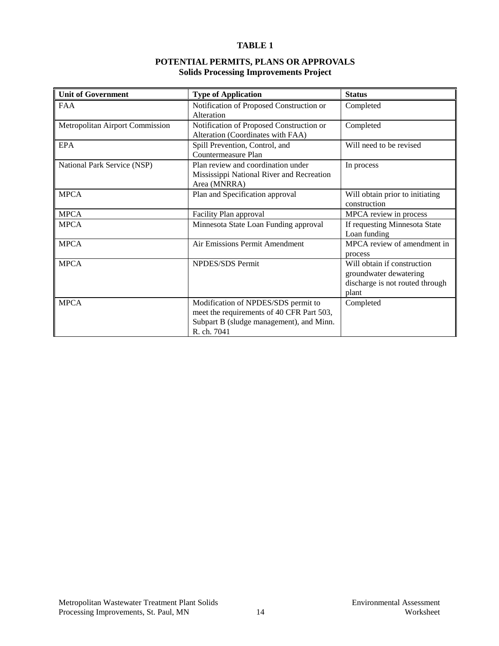#### **TABLE 1**

#### **POTENTIAL PERMITS, PLANS OR APPROVALS Solids Processing Improvements Project**

| <b>Unit of Government</b>       | <b>Type of Application</b>                | <b>Status</b>                   |
|---------------------------------|-------------------------------------------|---------------------------------|
| <b>FAA</b>                      | Notification of Proposed Construction or  | Completed                       |
|                                 | Alteration                                |                                 |
| Metropolitan Airport Commission | Notification of Proposed Construction or  | Completed                       |
|                                 | Alteration (Coordinates with FAA)         |                                 |
| <b>EPA</b>                      | Spill Prevention, Control, and            | Will need to be revised         |
|                                 | Countermeasure Plan                       |                                 |
| National Park Service (NSP)     | Plan review and coordination under        | In process                      |
|                                 | Mississippi National River and Recreation |                                 |
|                                 | Area (MNRRA)                              |                                 |
| <b>MPCA</b>                     | Plan and Specification approval           | Will obtain prior to initiating |
|                                 |                                           | construction                    |
| <b>MPCA</b>                     | Facility Plan approval                    | MPCA review in process          |
| <b>MPCA</b>                     | Minnesota State Loan Funding approval     | If requesting Minnesota State   |
|                                 |                                           | Loan funding                    |
| <b>MPCA</b>                     | Air Emissions Permit Amendment            | MPCA review of amendment in     |
|                                 |                                           | process                         |
| <b>MPCA</b>                     | <b>NPDES/SDS</b> Permit                   | Will obtain if construction     |
|                                 |                                           | groundwater dewatering          |
|                                 |                                           | discharge is not routed through |
|                                 |                                           | plant                           |
| <b>MPCA</b>                     | Modification of NPDES/SDS permit to       | Completed                       |
|                                 | meet the requirements of 40 CFR Part 503, |                                 |
|                                 | Subpart B (sludge management), and Minn.  |                                 |
|                                 | R. ch. 7041                               |                                 |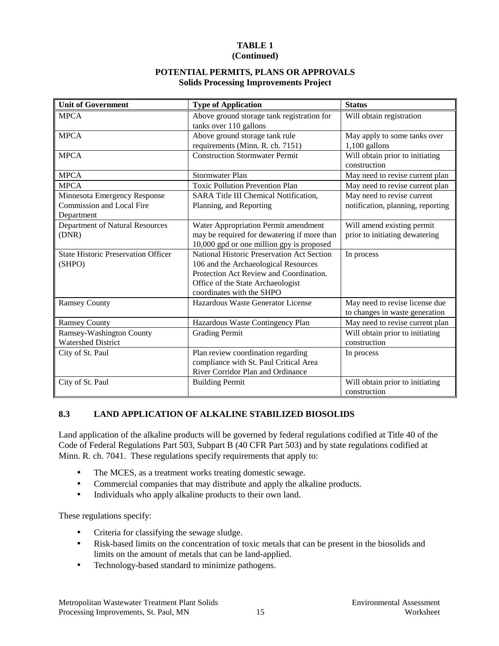# **TABLE 1**

# **(Continued)**

#### **POTENTIAL PERMITS, PLANS OR APPROVALS Solids Processing Improvements Project**

| <b>Unit of Government</b>                                                      | <b>Type of Application</b>                                                                                                                                                                             | <b>Status</b>                                                    |
|--------------------------------------------------------------------------------|--------------------------------------------------------------------------------------------------------------------------------------------------------------------------------------------------------|------------------------------------------------------------------|
| <b>MPCA</b>                                                                    | Above ground storage tank registration for<br>tanks over 110 gallons                                                                                                                                   | Will obtain registration                                         |
| <b>MPCA</b>                                                                    | Above ground storage tank rule<br>requirements (Minn. R. ch. 7151)                                                                                                                                     | May apply to some tanks over<br>$1,100$ gallons                  |
| <b>MPCA</b>                                                                    | <b>Construction Stormwater Permit</b>                                                                                                                                                                  | Will obtain prior to initiating<br>construction                  |
| <b>MPCA</b>                                                                    | <b>Stormwater Plan</b>                                                                                                                                                                                 | May need to revise current plan                                  |
| <b>MPCA</b>                                                                    | <b>Toxic Pollution Prevention Plan</b>                                                                                                                                                                 | May need to revise current plan                                  |
| Minnesota Emergency Response<br><b>Commission and Local Fire</b><br>Department | <b>SARA Title III Chemical Notification,</b><br>Planning, and Reporting                                                                                                                                | May need to revise current<br>notification, planning, reporting  |
| Department of Natural Resources<br>(DNR)                                       | Water Appropriation Permit amendment<br>may be required for dewatering if more than<br>10,000 gpd or one million gpy is proposed                                                                       | Will amend existing permit<br>prior to initiating dewatering     |
| <b>State Historic Preservation Officer</b><br>(SHPO)                           | <b>National Historic Preservation Act Section</b><br>106 and the Archaeological Resources<br>Protection Act Review and Coordination.<br>Office of the State Archaeologist<br>coordinates with the SHPO | In process                                                       |
| <b>Ramsey County</b>                                                           | Hazardous Waste Generator License                                                                                                                                                                      | May need to revise license due<br>to changes in waste generation |
| <b>Ramsey County</b>                                                           | Hazardous Waste Contingency Plan                                                                                                                                                                       | May need to revise current plan                                  |
| Ramsey-Washington County<br><b>Watershed District</b>                          | <b>Grading Permit</b>                                                                                                                                                                                  | Will obtain prior to initiating<br>construction                  |
| City of St. Paul                                                               | Plan review coordination regarding<br>compliance with St. Paul Critical Area<br>River Corridor Plan and Ordinance                                                                                      | In process                                                       |
| City of St. Paul                                                               | <b>Building Permit</b>                                                                                                                                                                                 | Will obtain prior to initiating<br>construction                  |

#### **8.3 LAND APPLICATION OF ALKALINE STABILIZED BIOSOLIDS**

Land application of the alkaline products will be governed by federal regulations codified at Title 40 of the Code of Federal Regulations Part 503, Subpart B (40 CFR Part 503) and by state regulations codified at Minn. R. ch. 7041. These regulations specify requirements that apply to:

- The MCES, as a treatment works treating domestic sewage.
- Commercial companies that may distribute and apply the alkaline products.
- Individuals who apply alkaline products to their own land.

These regulations specify:

- Criteria for classifying the sewage sludge.
- Risk-based limits on the concentration of toxic metals that can be present in the biosolids and limits on the amount of metals that can be land-applied.
- Technology-based standard to minimize pathogens.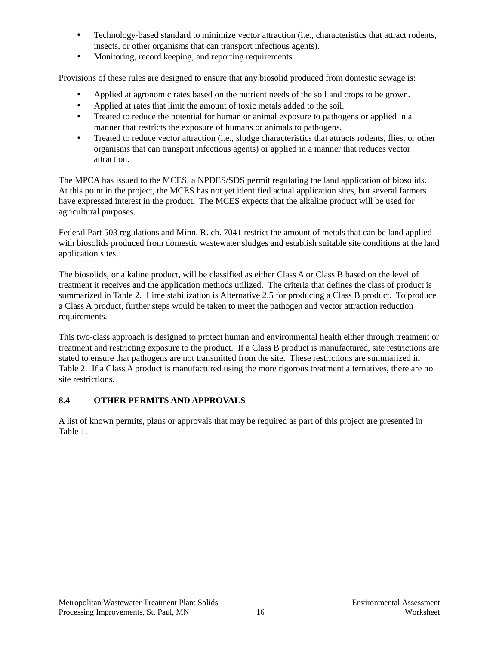- Technology-based standard to minimize vector attraction (i.e., characteristics that attract rodents, insects, or other organisms that can transport infectious agents).
- Monitoring, record keeping, and reporting requirements.

Provisions of these rules are designed to ensure that any biosolid produced from domestic sewage is:

- Applied at agronomic rates based on the nutrient needs of the soil and crops to be grown.
- Applied at rates that limit the amount of toxic metals added to the soil.
- Treated to reduce the potential for human or animal exposure to pathogens or applied in a manner that restricts the exposure of humans or animals to pathogens.
- Treated to reduce vector attraction (i.e., sludge characteristics that attracts rodents, flies, or other organisms that can transport infectious agents) or applied in a manner that reduces vector attraction.

The MPCA has issued to the MCES, a NPDES/SDS permit regulating the land application of biosolids. At this point in the project, the MCES has not yet identified actual application sites, but several farmers have expressed interest in the product. The MCES expects that the alkaline product will be used for agricultural purposes.

Federal Part 503 regulations and Minn. R. ch. 7041 restrict the amount of metals that can be land applied with biosolids produced from domestic wastewater sludges and establish suitable site conditions at the land application sites.

The biosolids, or alkaline product, will be classified as either Class A or Class B based on the level of treatment it receives and the application methods utilized. The criteria that defines the class of product is summarized in Table 2. Lime stabilization is Alternative 2.5 for producing a Class B product. To produce a Class A product, further steps would be taken to meet the pathogen and vector attraction reduction requirements.

This two-class approach is designed to protect human and environmental health either through treatment or treatment and restricting exposure to the product. If a Class B product is manufactured, site restrictions are stated to ensure that pathogens are not transmitted from the site. These restrictions are summarized in Table 2. If a Class A product is manufactured using the more rigorous treatment alternatives, there are no site restrictions.

#### **8.4 OTHER PERMITS AND APPROVALS**

A list of known permits, plans or approvals that may be required as part of this project are presented in Table 1.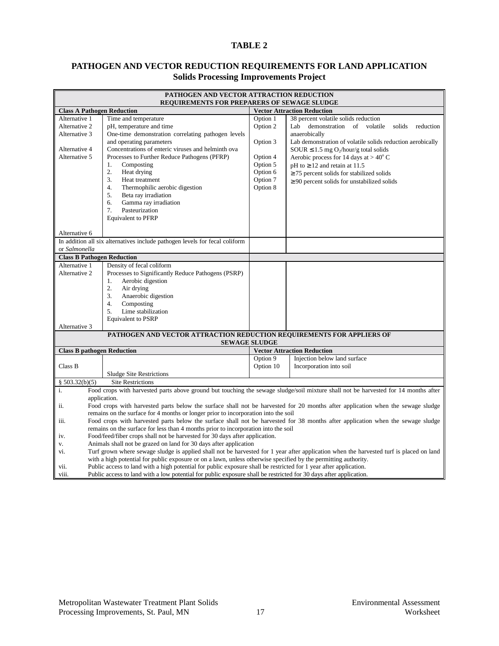#### **TABLE 2**

#### **PATHOGEN AND VECTOR REDUCTION REQUIREMENTS FOR LAND APPLICATION Solids Processing Improvements Project**

| PATHOGEN AND VECTOR ATTRACTION REDUCTION<br><b>REQUIREMENTS FOR PREPARERS OF SEWAGE SLUDGE</b> |                                                                                                                                                                                                                                      |                                    |                                                                                                                                         |  |  |
|------------------------------------------------------------------------------------------------|--------------------------------------------------------------------------------------------------------------------------------------------------------------------------------------------------------------------------------------|------------------------------------|-----------------------------------------------------------------------------------------------------------------------------------------|--|--|
| <b>Class A Pathogen Reduction</b>                                                              |                                                                                                                                                                                                                                      | <b>Vector Attraction Reduction</b> |                                                                                                                                         |  |  |
| Alternative 1                                                                                  | Time and temperature                                                                                                                                                                                                                 | Option 1                           | 38 percent volatile solids reduction                                                                                                    |  |  |
| Alternative 2                                                                                  | pH, temperature and time                                                                                                                                                                                                             | Option 2                           | Lab demonstration of volatile<br>solids<br>reduction                                                                                    |  |  |
| Alternative 3                                                                                  | One-time demonstration correlating pathogen levels                                                                                                                                                                                   |                                    | anaerobically                                                                                                                           |  |  |
|                                                                                                | and operating parameters                                                                                                                                                                                                             | Option 3                           | Lab demonstration of volatile solids reduction aerobically                                                                              |  |  |
| Alternative 4                                                                                  | Concentrations of enteric viruses and helminth ova                                                                                                                                                                                   |                                    | SOUR $\leq$ 1.5 mg O <sub>2</sub> /hour/g total solids                                                                                  |  |  |
| Alternative 5                                                                                  | Processes to Further Reduce Pathogens (PFRP)                                                                                                                                                                                         | Option 4                           | Aerobic process for 14 days at $> 40^{\circ}$ C                                                                                         |  |  |
|                                                                                                | 1.<br>Composting                                                                                                                                                                                                                     | Option 5                           | pH to $\geq$ 12 and retain at 11.5                                                                                                      |  |  |
|                                                                                                | 2.<br>Heat drying                                                                                                                                                                                                                    | Option 6                           | $\geq$ 75 percent solids for stabilized solids                                                                                          |  |  |
|                                                                                                | 3.<br>Heat treatment                                                                                                                                                                                                                 | Option 7                           | $\geq$ 90 percent solids for unstabilized solids                                                                                        |  |  |
|                                                                                                | 4.<br>Thermophilic aerobic digestion                                                                                                                                                                                                 | Option 8                           |                                                                                                                                         |  |  |
|                                                                                                | 5.<br>Beta ray irradiation                                                                                                                                                                                                           |                                    |                                                                                                                                         |  |  |
|                                                                                                | Gamma ray irradiation<br>6.                                                                                                                                                                                                          |                                    |                                                                                                                                         |  |  |
|                                                                                                | 7.<br>Pasteurization                                                                                                                                                                                                                 |                                    |                                                                                                                                         |  |  |
|                                                                                                | <b>Equivalent to PFRP</b>                                                                                                                                                                                                            |                                    |                                                                                                                                         |  |  |
|                                                                                                |                                                                                                                                                                                                                                      |                                    |                                                                                                                                         |  |  |
| Alternative 6                                                                                  |                                                                                                                                                                                                                                      |                                    |                                                                                                                                         |  |  |
|                                                                                                | In addition all six alternatives include pathogen levels for fecal coliform                                                                                                                                                          |                                    |                                                                                                                                         |  |  |
| or Salmonella                                                                                  |                                                                                                                                                                                                                                      |                                    |                                                                                                                                         |  |  |
| <b>Class B Pathogen Reduction</b>                                                              |                                                                                                                                                                                                                                      |                                    |                                                                                                                                         |  |  |
| Alternative 1<br>Alternative 2                                                                 | Density of fecal coliform<br>Processes to Significantly Reduce Pathogens (PSRP)                                                                                                                                                      |                                    |                                                                                                                                         |  |  |
|                                                                                                | Aerobic digestion                                                                                                                                                                                                                    |                                    |                                                                                                                                         |  |  |
|                                                                                                | 1.<br>2.<br>Air drying                                                                                                                                                                                                               |                                    |                                                                                                                                         |  |  |
|                                                                                                | Anaerobic digestion<br>3.                                                                                                                                                                                                            |                                    |                                                                                                                                         |  |  |
|                                                                                                | 4.<br>Composting                                                                                                                                                                                                                     |                                    |                                                                                                                                         |  |  |
|                                                                                                | Lime stabilization<br>5.                                                                                                                                                                                                             |                                    |                                                                                                                                         |  |  |
|                                                                                                | <b>Equivalent to PSRP</b>                                                                                                                                                                                                            |                                    |                                                                                                                                         |  |  |
| Alternative 3                                                                                  |                                                                                                                                                                                                                                      |                                    |                                                                                                                                         |  |  |
|                                                                                                | PATHOGEN AND VECTOR ATTRACTION REDUCTION REQUIREMENTS FOR APPLIERS OF                                                                                                                                                                |                                    |                                                                                                                                         |  |  |
|                                                                                                |                                                                                                                                                                                                                                      | <b>SEWAGE SLUDGE</b>               |                                                                                                                                         |  |  |
| <b>Class B pathogen Reduction</b>                                                              |                                                                                                                                                                                                                                      |                                    | <b>Vector Attraction Reduction</b>                                                                                                      |  |  |
|                                                                                                |                                                                                                                                                                                                                                      | Option 9                           | Injection below land surface                                                                                                            |  |  |
| Class B                                                                                        |                                                                                                                                                                                                                                      | Option 10                          | Incorporation into soil                                                                                                                 |  |  |
|                                                                                                | <b>Sludge Site Restrictions</b>                                                                                                                                                                                                      |                                    |                                                                                                                                         |  |  |
| § 503.32(b)(5)                                                                                 | <b>Site Restrictions</b>                                                                                                                                                                                                             |                                    |                                                                                                                                         |  |  |
| i.                                                                                             |                                                                                                                                                                                                                                      |                                    | Food crops with harvested parts above ground but touching the sewage sludge/soil mixture shall not be harvested for 14 months after     |  |  |
| ii.                                                                                            | application.                                                                                                                                                                                                                         |                                    |                                                                                                                                         |  |  |
|                                                                                                | Food crops with harvested parts below the surface shall not be harvested for 20 months after application when the sewage sludge<br>remains on the surface for 4 months or longer prior to incorporation into the soil                |                                    |                                                                                                                                         |  |  |
| iii.                                                                                           |                                                                                                                                                                                                                                      |                                    | Food crops with harvested parts below the surface shall not be harvested for 38 months after application when the sewage sludge         |  |  |
|                                                                                                | remains on the surface for less than 4 months prior to incorporation into the soil                                                                                                                                                   |                                    |                                                                                                                                         |  |  |
| iv.                                                                                            | Food/feed/fiber crops shall not be harvested for 30 days after application.                                                                                                                                                          |                                    |                                                                                                                                         |  |  |
| v.                                                                                             | Animals shall not be grazed on land for 30 days after application                                                                                                                                                                    |                                    |                                                                                                                                         |  |  |
| vi.                                                                                            |                                                                                                                                                                                                                                      |                                    | Turf grown where sewage sludge is applied shall not be harvested for 1 year after application when the harvested turf is placed on land |  |  |
|                                                                                                |                                                                                                                                                                                                                                      |                                    |                                                                                                                                         |  |  |
| vii.                                                                                           | with a high potential for public exposure or on a lawn, unless otherwise specified by the permitting authority.<br>Public access to land with a high potential for public exposure shall be restricted for 1 year after application. |                                    |                                                                                                                                         |  |  |
| viii.                                                                                          | Public access to land with a low potential for public exposure shall be restricted for 30 days after application.                                                                                                                    |                                    |                                                                                                                                         |  |  |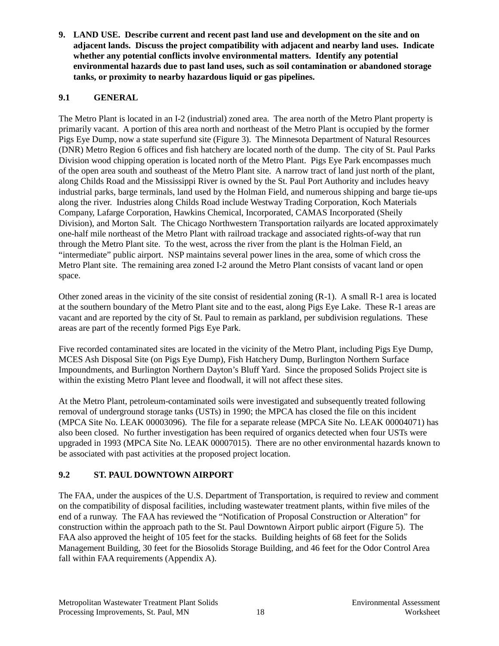**9. LAND USE. Describe current and recent past land use and development on the site and on adjacent lands. Discuss the project compatibility with adjacent and nearby land uses. Indicate whether any potential conflicts involve environmental matters. Identify any potential environmental hazards due to past land uses, such as soil contamination or abandoned storage tanks, or proximity to nearby hazardous liquid or gas pipelines.**

# **9.1 GENERAL**

The Metro Plant is located in an I-2 (industrial) zoned area. The area north of the Metro Plant property is primarily vacant. A portion of this area north and northeast of the Metro Plant is occupied by the former Pigs Eye Dump, now a state superfund site (Figure 3). The Minnesota Department of Natural Resources (DNR) Metro Region 6 offices and fish hatchery are located north of the dump. The city of St. Paul Parks Division wood chipping operation is located north of the Metro Plant. Pigs Eye Park encompasses much of the open area south and southeast of the Metro Plant site. A narrow tract of land just north of the plant, along Childs Road and the Mississippi River is owned by the St. Paul Port Authority and includes heavy industrial parks, barge terminals, land used by the Holman Field, and numerous shipping and barge tie-ups along the river. Industries along Childs Road include Westway Trading Corporation, Koch Materials Company, Lafarge Corporation, Hawkins Chemical, Incorporated, CAMAS Incorporated (Sheily Division), and Morton Salt. The Chicago Northwestern Transportation railyards are located approximately one-half mile northeast of the Metro Plant with railroad trackage and associated rights-of-way that run through the Metro Plant site. To the west, across the river from the plant is the Holman Field, an "intermediate" public airport. NSP maintains several power lines in the area, some of which cross the Metro Plant site. The remaining area zoned I-2 around the Metro Plant consists of vacant land or open space.

Other zoned areas in the vicinity of the site consist of residential zoning (R-1). A small R-1 area is located at the southern boundary of the Metro Plant site and to the east, along Pigs Eye Lake. These R-1 areas are vacant and are reported by the city of St. Paul to remain as parkland, per subdivision regulations. These areas are part of the recently formed Pigs Eye Park.

Five recorded contaminated sites are located in the vicinity of the Metro Plant, including Pigs Eye Dump, MCES Ash Disposal Site (on Pigs Eye Dump), Fish Hatchery Dump, Burlington Northern Surface Impoundments, and Burlington Northern Dayton's Bluff Yard. Since the proposed Solids Project site is within the existing Metro Plant levee and floodwall, it will not affect these sites.

At the Metro Plant, petroleum-contaminated soils were investigated and subsequently treated following removal of underground storage tanks (USTs) in 1990; the MPCA has closed the file on this incident (MPCA Site No. LEAK 00003096). The file for a separate release (MPCA Site No. LEAK 00004071) has also been closed. No further investigation has been required of organics detected when four USTs were upgraded in 1993 (MPCA Site No. LEAK 00007015). There are no other environmental hazards known to be associated with past activities at the proposed project location.

# **9.2 ST. PAUL DOWNTOWN AIRPORT**

The FAA, under the auspices of the U.S. Department of Transportation, is required to review and comment on the compatibility of disposal facilities, including wastewater treatment plants, within five miles of the end of a runway. The FAA has reviewed the "Notification of Proposal Construction or Alteration" for construction within the approach path to the St. Paul Downtown Airport public airport (Figure 5). The FAA also approved the height of 105 feet for the stacks. Building heights of 68 feet for the Solids Management Building, 30 feet for the Biosolids Storage Building, and 46 feet for the Odor Control Area fall within FAA requirements (Appendix A).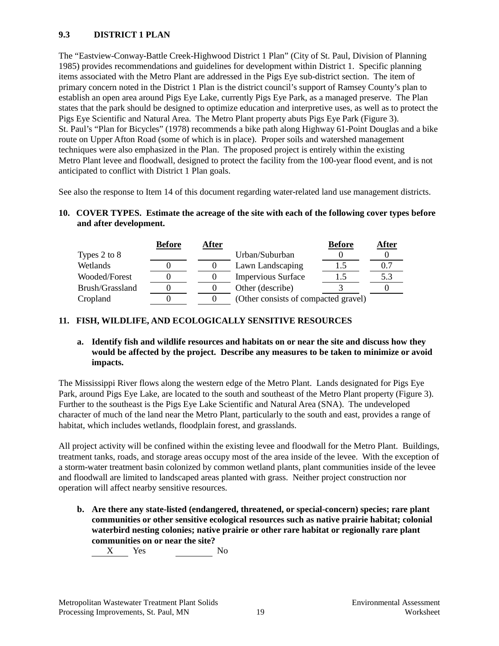### **9.3 DISTRICT 1 PLAN**

The "Eastview-Conway-Battle Creek-Highwood District 1 Plan" (City of St. Paul, Division of Planning 1985) provides recommendations and guidelines for development within District 1. Specific planning items associated with the Metro Plant are addressed in the Pigs Eye sub-district section. The item of primary concern noted in the District 1 Plan is the district council's support of Ramsey County's plan to establish an open area around Pigs Eye Lake, currently Pigs Eye Park, as a managed preserve. The Plan states that the park should be designed to optimize education and interpretive uses, as well as to protect the Pigs Eye Scientific and Natural Area. The Metro Plant property abuts Pigs Eye Park (Figure 3). St. Paul's "Plan for Bicycles" (1978) recommends a bike path along Highway 61-Point Douglas and a bike route on Upper Afton Road (some of which is in place). Proper soils and watershed management techniques were also emphasized in the Plan. The proposed project is entirely within the existing Metro Plant levee and floodwall, designed to protect the facility from the 100-year flood event, and is not anticipated to conflict with District 1 Plan goals.

See also the response to Item 14 of this document regarding water-related land use management districts.

#### **10. COVER TYPES. Estimate the acreage of the site with each of the following cover types before and after development.**

|                 | <b>Before</b> | After |                                      | <b>Before</b> | After |
|-----------------|---------------|-------|--------------------------------------|---------------|-------|
| Types 2 to 8    |               |       | Urban/Suburban                       |               |       |
| Wetlands        |               |       | Lawn Landscaping                     |               |       |
| Wooded/Forest   |               |       | <b>Impervious Surface</b>            |               | 5.3   |
| Brush/Grassland |               |       | Other (describe)                     |               |       |
| Cropland        |               |       | (Other consists of compacted gravel) |               |       |

# **11. FISH, WILDLIFE, AND ECOLOGICALLY SENSITIVE RESOURCES**

#### **a. Identify fish and wildlife resources and habitats on or near the site and discuss how they would be affected by the project. Describe any measures to be taken to minimize or avoid impacts.**

The Mississippi River flows along the western edge of the Metro Plant. Lands designated for Pigs Eye Park, around Pigs Eye Lake, are located to the south and southeast of the Metro Plant property (Figure 3). Further to the southeast is the Pigs Eye Lake Scientific and Natural Area (SNA). The undeveloped character of much of the land near the Metro Plant, particularly to the south and east, provides a range of habitat, which includes wetlands, floodplain forest, and grasslands.

All project activity will be confined within the existing levee and floodwall for the Metro Plant. Buildings, treatment tanks, roads, and storage areas occupy most of the area inside of the levee. With the exception of a storm-water treatment basin colonized by common wetland plants, plant communities inside of the levee and floodwall are limited to landscaped areas planted with grass. Neither project construction nor operation will affect nearby sensitive resources.

**b. Are there any state-listed (endangered, threatened, or special-concern) species; rare plant communities or other sensitive ecological resources such as native prairie habitat; colonial waterbird nesting colonies; native prairie or other rare habitat or regionally rare plant communities on or near the site?**

X Yes No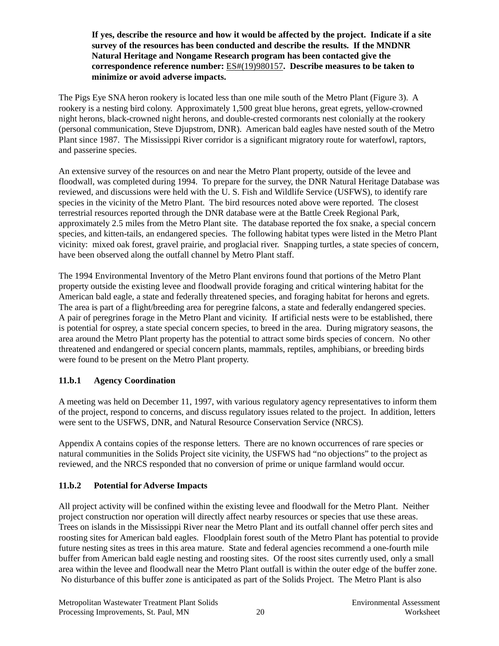**If yes, describe the resource and how it would be affected by the project. Indicate if a site survey of the resources has been conducted and describe the results. If the MNDNR Natural Heritage and Nongame Research program has been contacted give the correspondence reference number:** ES#(19)980157**. Describe measures to be taken to minimize or avoid adverse impacts.**

The Pigs Eye SNA heron rookery is located less than one mile south of the Metro Plant (Figure 3). A rookery is a nesting bird colony. Approximately 1,500 great blue herons, great egrets, yellow-crowned night herons, black-crowned night herons, and double-crested cormorants nest colonially at the rookery (personal communication, Steve Djupstrom, DNR). American bald eagles have nested south of the Metro Plant since 1987. The Mississippi River corridor is a significant migratory route for waterfowl, raptors, and passerine species.

An extensive survey of the resources on and near the Metro Plant property, outside of the levee and floodwall, was completed during 1994. To prepare for the survey, the DNR Natural Heritage Database was reviewed, and discussions were held with the U. S. Fish and Wildlife Service (USFWS), to identify rare species in the vicinity of the Metro Plant. The bird resources noted above were reported. The closest terrestrial resources reported through the DNR database were at the Battle Creek Regional Park, approximately 2.5 miles from the Metro Plant site. The database reported the fox snake, a special concern species, and kitten-tails, an endangered species. The following habitat types were listed in the Metro Plant vicinity: mixed oak forest, gravel prairie, and proglacial river. Snapping turtles, a state species of concern, have been observed along the outfall channel by Metro Plant staff.

The 1994 Environmental Inventory of the Metro Plant environs found that portions of the Metro Plant property outside the existing levee and floodwall provide foraging and critical wintering habitat for the American bald eagle, a state and federally threatened species, and foraging habitat for herons and egrets. The area is part of a flight/breeding area for peregrine falcons, a state and federally endangered species. A pair of peregrines forage in the Metro Plant and vicinity. If artificial nests were to be established, there is potential for osprey, a state special concern species, to breed in the area. During migratory seasons, the area around the Metro Plant property has the potential to attract some birds species of concern. No other threatened and endangered or special concern plants, mammals, reptiles, amphibians, or breeding birds were found to be present on the Metro Plant property.

# **11.b.1 Agency Coordination**

A meeting was held on December 11, 1997, with various regulatory agency representatives to inform them of the project, respond to concerns, and discuss regulatory issues related to the project. In addition, letters were sent to the USFWS, DNR, and Natural Resource Conservation Service (NRCS).

Appendix A contains copies of the response letters. There are no known occurrences of rare species or natural communities in the Solids Project site vicinity, the USFWS had "no objections" to the project as reviewed, and the NRCS responded that no conversion of prime or unique farmland would occur.

#### **11.b.2 Potential for Adverse Impacts**

All project activity will be confined within the existing levee and floodwall for the Metro Plant. Neither project construction nor operation will directly affect nearby resources or species that use these areas. Trees on islands in the Mississippi River near the Metro Plant and its outfall channel offer perch sites and roosting sites for American bald eagles. Floodplain forest south of the Metro Plant has potential to provide future nesting sites as trees in this area mature. State and federal agencies recommend a one-fourth mile buffer from American bald eagle nesting and roosting sites. Of the roost sites currently used, only a small area within the levee and floodwall near the Metro Plant outfall is within the outer edge of the buffer zone. No disturbance of this buffer zone is anticipated as part of the Solids Project. The Metro Plant is also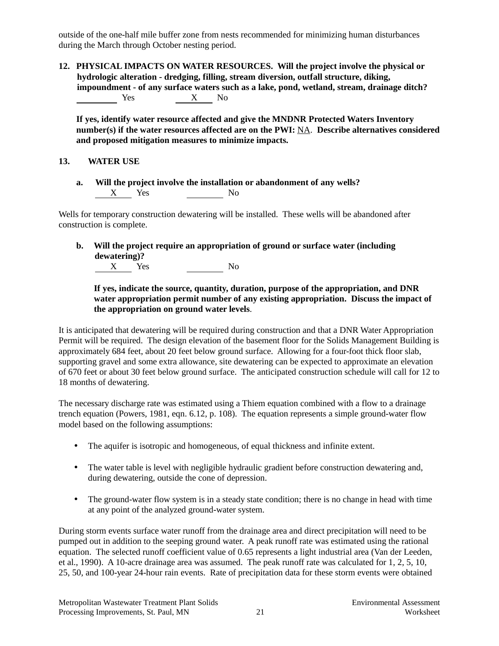outside of the one-half mile buffer zone from nests recommended for minimizing human disturbances during the March through October nesting period.

**12. PHYSICAL IMPACTS ON WATER RESOURCES. Will the project involve the physical or hydrologic alteration - dredging, filling, stream diversion, outfall structure, diking, impoundment - of any surface waters such as a lake, pond, wetland, stream, drainage ditch?** Yes X No

**If yes, identify water resource affected and give the MNDNR Protected Waters Inventory number(s) if the water resources affected are on the PWI:** NA. **Describe alternatives considered and proposed mitigation measures to minimize impacts.**

#### **13. WATER USE**

**a. Will the project involve the installation or abandonment of any wells?**  $X$  Yes No

Wells for temporary construction dewatering will be installed. These wells will be abandoned after construction is complete.

**b. Will the project require an appropriation of ground or surface water (including dewatering)?**<br>X Yes X Yes No

#### **If yes, indicate the source, quantity, duration, purpose of the appropriation, and DNR water appropriation permit number of any existing appropriation. Discuss the impact of the appropriation on ground water levels**.

It is anticipated that dewatering will be required during construction and that a DNR Water Appropriation Permit will be required. The design elevation of the basement floor for the Solids Management Building is approximately 684 feet, about 20 feet below ground surface. Allowing for a four-foot thick floor slab, supporting gravel and some extra allowance, site dewatering can be expected to approximate an elevation of 670 feet or about 30 feet below ground surface. The anticipated construction schedule will call for 12 to 18 months of dewatering.

The necessary discharge rate was estimated using a Thiem equation combined with a flow to a drainage trench equation (Powers, 1981, eqn. 6.12, p. 108). The equation represents a simple ground-water flow model based on the following assumptions:

- The aquifer is isotropic and homogeneous, of equal thickness and infinite extent.
- The water table is level with negligible hydraulic gradient before construction dewatering and, during dewatering, outside the cone of depression.
- The ground-water flow system is in a steady state condition; there is no change in head with time at any point of the analyzed ground-water system.

During storm events surface water runoff from the drainage area and direct precipitation will need to be pumped out in addition to the seeping ground water. A peak runoff rate was estimated using the rational equation. The selected runoff coefficient value of 0.65 represents a light industrial area (Van der Leeden, et al., 1990). A 10-acre drainage area was assumed. The peak runoff rate was calculated for 1, 2, 5, 10, 25, 50, and 100-year 24-hour rain events. Rate of precipitation data for these storm events were obtained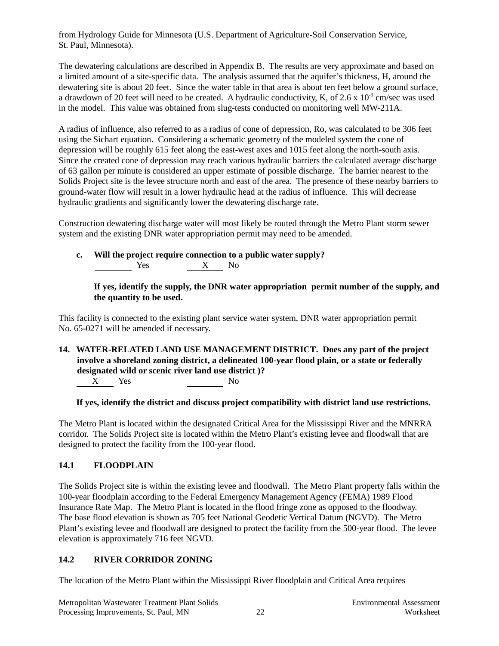from Hydrology Guide for Minnesota (U.S. Department of Agriculture-Soil Conservation Service, St. Paul, Minnesota).

The dewatering calculations are described in Appendix B. The results are very approximate and based on a limited amount of a site-specific data. The analysis assumed that the aquifer's thickness, H, around the dewatering site is about 20 feet. Since the water table in that area is about ten feet below a ground surface, a drawdown of 20 feet will need to be created. A hydraulic conductivity, K, of 2.6 x  $10^{-3}$  cm/sec was used in the model. This value was obtained from slug-tests conducted on monitoring well MW-211A.

A radius of influence, also referred to as a radius of cone of depression, Ro, was calculated to be 306 feet using the Sichart equation. Considering a schematic geometry of the modeled system the cone of depression will be roughly 615 feet along the east-west axes and 1015 feet along the north-south axis. Since the created cone of depression may reach various hydraulic barriers the calculated average discharge of 63 gallon per minute is considered an upper estimate of possible discharge. The barrier nearest to the Solids Project site is the levee structure north and east of the area. The presence of these nearby barriers to ground-water flow will result in a lower hydraulic head at the radius of influence. This will decrease hydraulic gradients and significantly lower the dewatering discharge rate.

Construction dewatering discharge water will most likely be routed through the Metro Plant storm sewer system and the existing DNR water appropriation permit may need to be amended.

**c. Will the project require connection to a public water supply?** Yes X No 

**If yes, identify the supply, the DNR water appropriation permit number of the supply, and the quantity to be used.**

This facility is connected to the existing plant service water system, DNR water appropriation permit No. 65-0271 will be amended if necessary.

**14. WATER-RELATED LAND USE MANAGEMENT DISTRICT. Does any part of the project involve a shoreland zoning district, a delineated 100-year flood plain, or a state or federally designated wild or scenic river land use district )?** X Yes No

**If yes, identify the district and discuss project compatibility with district land use restrictions.**

The Metro Plant is located within the designated Critical Area for the Mississippi River and the MNRRA corridor. The Solids Project site is located within the Metro Plant's existing levee and floodwall that are designed to protect the facility from the 100-year flood.

#### **14.1 FLOODPLAIN**

The Solids Project site is within the existing levee and floodwall. The Metro Plant property falls within the 100-year floodplain according to the Federal Emergency Management Agency (FEMA) 1989 Flood Insurance Rate Map. The Metro Plant is located in the flood fringe zone as opposed to the floodway. The base flood elevation is shown as 705 feet National Geodetic Vertical Datum (NGVD). The Metro Plant's existing levee and floodwall are designed to protect the facility from the 500-year flood. The levee elevation is approximately 716 feet NGVD.

#### **14.2 RIVER CORRIDOR ZONING**

The location of the Metro Plant within the Mississippi River floodplain and Critical Area requires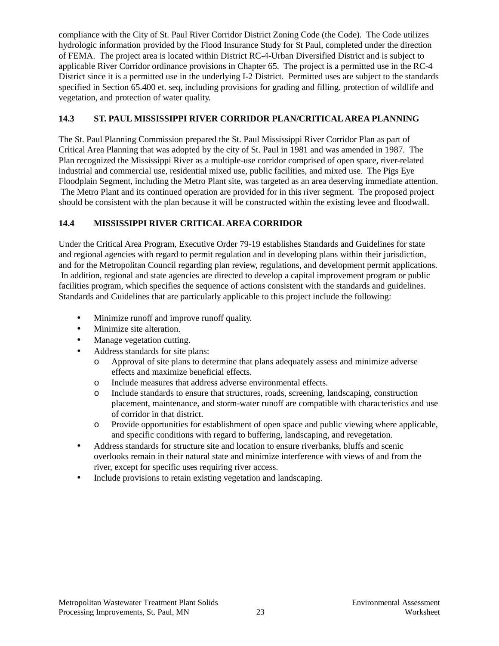compliance with the City of St. Paul River Corridor District Zoning Code (the Code). The Code utilizes hydrologic information provided by the Flood Insurance Study for St Paul, completed under the direction of FEMA. The project area is located within District RC-4-Urban Diversified District and is subject to applicable River Corridor ordinance provisions in Chapter 65. The project is a permitted use in the RC-4 District since it is a permitted use in the underlying I-2 District. Permitted uses are subject to the standards specified in Section 65.400 et. seq, including provisions for grading and filling, protection of wildlife and vegetation, and protection of water quality.

# **14.3 ST. PAUL MISSISSIPPI RIVER CORRIDOR PLAN/CRITICAL AREA PLANNING**

The St. Paul Planning Commission prepared the St. Paul Mississippi River Corridor Plan as part of Critical Area Planning that was adopted by the city of St. Paul in 1981 and was amended in 1987. The Plan recognized the Mississippi River as a multiple-use corridor comprised of open space, river-related industrial and commercial use, residential mixed use, public facilities, and mixed use. The Pigs Eye Floodplain Segment, including the Metro Plant site, was targeted as an area deserving immediate attention. The Metro Plant and its continued operation are provided for in this river segment. The proposed project should be consistent with the plan because it will be constructed within the existing levee and floodwall.

## **14.4 MISSISSIPPI RIVER CRITICAL AREA CORRIDOR**

Under the Critical Area Program, Executive Order 79-19 establishes Standards and Guidelines for state and regional agencies with regard to permit regulation and in developing plans within their jurisdiction, and for the Metropolitan Council regarding plan review, regulations, and development permit applications. In addition, regional and state agencies are directed to develop a capital improvement program or public facilities program, which specifies the sequence of actions consistent with the standards and guidelines. Standards and Guidelines that are particularly applicable to this project include the following:

- Minimize runoff and improve runoff quality.
- Minimize site alteration.
- Manage vegetation cutting.
- Address standards for site plans:
	- o Approval of site plans to determine that plans adequately assess and minimize adverse effects and maximize beneficial effects.
	- o Include measures that address adverse environmental effects.
	- o Include standards to ensure that structures, roads, screening, landscaping, construction placement, maintenance, and storm-water runoff are compatible with characteristics and use of corridor in that district.
	- o Provide opportunities for establishment of open space and public viewing where applicable, and specific conditions with regard to buffering, landscaping, and revegetation.
- Address standards for structure site and location to ensure riverbanks, bluffs and scenic overlooks remain in their natural state and minimize interference with views of and from the river, except for specific uses requiring river access.
- Include provisions to retain existing vegetation and landscaping.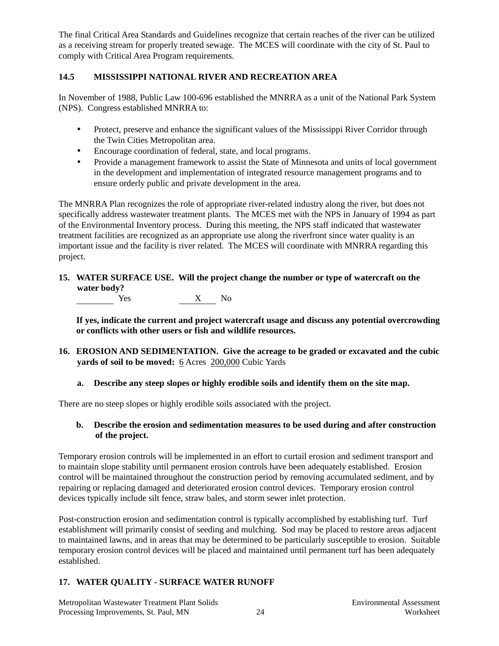The final Critical Area Standards and Guidelines recognize that certain reaches of the river can be utilized as a receiving stream for properly treated sewage. The MCES will coordinate with the city of St. Paul to comply with Critical Area Program requirements.

# **14.5 MISSISSIPPI NATIONAL RIVER AND RECREATION AREA**

In November of 1988, Public Law 100-696 established the MNRRA as a unit of the National Park System (NPS). Congress established MNRRA to:

- Protect, preserve and enhance the significant values of the Mississippi River Corridor through the Twin Cities Metropolitan area.
- Encourage coordination of federal, state, and local programs.
- Provide a management framework to assist the State of Minnesota and units of local government in the development and implementation of integrated resource management programs and to ensure orderly public and private development in the area.

The MNRRA Plan recognizes the role of appropriate river-related industry along the river, but does not specifically address wastewater treatment plants. The MCES met with the NPS in January of 1994 as part of the Environmental Inventory process. During this meeting, the NPS staff indicated that wastewater treatment facilities are recognized as an appropriate use along the riverfront since water quality is an important issue and the facility is river related. The MCES will coordinate with MNRRA regarding this project.

# **15. WATER SURFACE USE. Will the project change the number or type of watercraft on the water body?**

 $\begin{array}{c|c}\nX & No\n\end{array}$ 

**If yes, indicate the current and project watercraft usage and discuss any potential overcrowding or conflicts with other users or fish and wildlife resources.**

- **16. EROSION AND SEDIMENTATION. Give the acreage to be graded or excavated and the cubic yards of soil to be moved:** 6 Acres 200,000 Cubic Yards
	- **a. Describe any steep slopes or highly erodible soils and identify them on the site map.**

There are no steep slopes or highly erodible soils associated with the project.

#### **b. Describe the erosion and sedimentation measures to be used during and after construction of the project.**

Temporary erosion controls will be implemented in an effort to curtail erosion and sediment transport and to maintain slope stability until permanent erosion controls have been adequately established. Erosion control will be maintained throughout the construction period by removing accumulated sediment, and by repairing or replacing damaged and deteriorated erosion control devices. Temporary erosion control devices typically include silt fence, straw bales, and storm sewer inlet protection.

Post-construction erosion and sedimentation control is typically accomplished by establishing turf. Turf establishment will primarily consist of seeding and mulching. Sod may be placed to restore areas adjacent to maintained lawns, and in areas that may be determined to be particularly susceptible to erosion. Suitable temporary erosion control devices will be placed and maintained until permanent turf has been adequately established.

#### **17. WATER QUALITY - SURFACE WATER RUNOFF**

Metropolitan Wastewater Treatment Plant Solids Environmental Assessment Processing Improvements, St. Paul, MN 24 Worksheet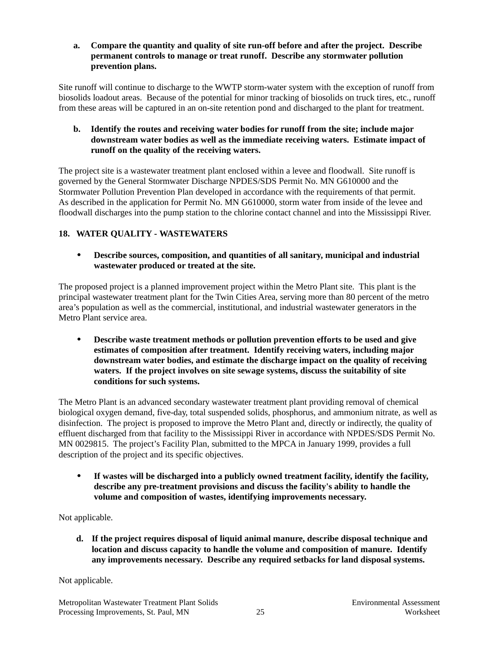**a. Compare the quantity and quality of site run-off before and after the project. Describe permanent controls to manage or treat runoff. Describe any stormwater pollution prevention plans.**

Site runoff will continue to discharge to the WWTP storm-water system with the exception of runoff from biosolids loadout areas. Because of the potential for minor tracking of biosolids on truck tires, etc., runoff from these areas will be captured in an on-site retention pond and discharged to the plant for treatment.

**b. Identify the routes and receiving water bodies for runoff from the site; include major downstream water bodies as well as the immediate receiving waters. Estimate impact of runoff on the quality of the receiving waters.**

The project site is a wastewater treatment plant enclosed within a levee and floodwall. Site runoff is governed by the General Stormwater Discharge NPDES/SDS Permit No. MN G610000 and the Stormwater Pollution Prevention Plan developed in accordance with the requirements of that permit. As described in the application for Permit No. MN G610000, storm water from inside of the levee and floodwall discharges into the pump station to the chlorine contact channel and into the Mississippi River.

# **18. WATER QUALITY - WASTEWATERS**

• **Describe sources, composition, and quantities of all sanitary, municipal and industrial wastewater produced or treated at the site.**

The proposed project is a planned improvement project within the Metro Plant site. This plant is the principal wastewater treatment plant for the Twin Cities Area, serving more than 80 percent of the metro area's population as well as the commercial, institutional, and industrial wastewater generators in the Metro Plant service area.

• **Describe waste treatment methods or pollution prevention efforts to be used and give estimates of composition after treatment. Identify receiving waters, including major downstream water bodies, and estimate the discharge impact on the quality of receiving waters. If the project involves on site sewage systems, discuss the suitability of site conditions for such systems.**

The Metro Plant is an advanced secondary wastewater treatment plant providing removal of chemical biological oxygen demand, five-day, total suspended solids, phosphorus, and ammonium nitrate, as well as disinfection. The project is proposed to improve the Metro Plant and, directly or indirectly, the quality of effluent discharged from that facility to the Mississippi River in accordance with NPDES/SDS Permit No. MN 0029815. The project's Facility Plan, submitted to the MPCA in January 1999, provides a full description of the project and its specific objectives.

• **If wastes will be discharged into a publicly owned treatment facility, identify the facility, describe any pre-treatment provisions and discuss the facility's ability to handle the volume and composition of wastes, identifying improvements necessary.**

Not applicable.

**d. If the project requires disposal of liquid animal manure, describe disposal technique and location and discuss capacity to handle the volume and composition of manure. Identify any improvements necessary. Describe any required setbacks for land disposal systems.**

Not applicable.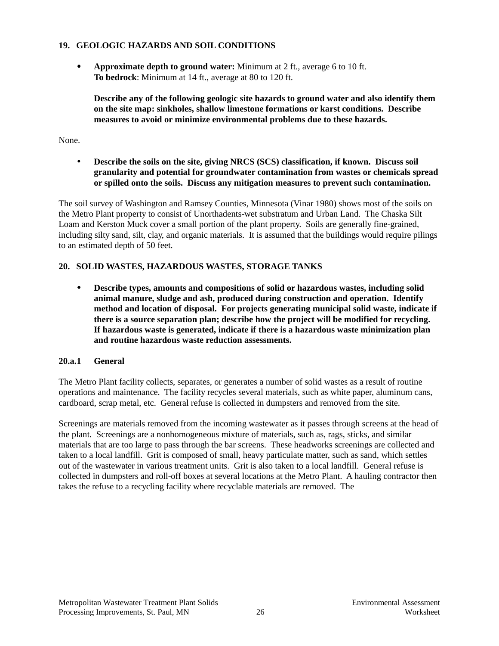#### **19. GEOLOGIC HAZARDS AND SOIL CONDITIONS**

• **Approximate depth to ground water:** Minimum at 2 ft., average 6 to 10 ft. **To bedrock**: Minimum at 14 ft., average at 80 to 120 ft.

**Describe any of the following geologic site hazards to ground water and also identify them on the site map: sinkholes, shallow limestone formations or karst conditions. Describe measures to avoid or minimize environmental problems due to these hazards.**

None.

• **Describe the soils on the site, giving NRCS (SCS) classification, if known. Discuss soil granularity and potential for groundwater contamination from wastes or chemicals spread or spilled onto the soils. Discuss any mitigation measures to prevent such contamination.**

The soil survey of Washington and Ramsey Counties, Minnesota (Vinar 1980) shows most of the soils on the Metro Plant property to consist of Unorthadents-wet substratum and Urban Land. The Chaska Silt Loam and Kerston Muck cover a small portion of the plant property. Soils are generally fine-grained, including silty sand, silt, clay, and organic materials. It is assumed that the buildings would require pilings to an estimated depth of 50 feet.

#### **20. SOLID WASTES, HAZARDOUS WASTES, STORAGE TANKS**

• **Describe types, amounts and compositions of solid or hazardous wastes, including solid animal manure, sludge and ash, produced during construction and operation. Identify method and location of disposal. For projects generating municipal solid waste, indicate if there is a source separation plan; describe how the project will be modified for recycling. If hazardous waste is generated, indicate if there is a hazardous waste minimization plan and routine hazardous waste reduction assessments.**

#### **20.a.1 General**

The Metro Plant facility collects, separates, or generates a number of solid wastes as a result of routine operations and maintenance. The facility recycles several materials, such as white paper, aluminum cans, cardboard, scrap metal, etc. General refuse is collected in dumpsters and removed from the site.

Screenings are materials removed from the incoming wastewater as it passes through screens at the head of the plant. Screenings are a nonhomogeneous mixture of materials, such as, rags, sticks, and similar materials that are too large to pass through the bar screens. These headworks screenings are collected and taken to a local landfill. Grit is composed of small, heavy particulate matter, such as sand, which settles out of the wastewater in various treatment units. Grit is also taken to a local landfill. General refuse is collected in dumpsters and roll-off boxes at several locations at the Metro Plant. A hauling contractor then takes the refuse to a recycling facility where recyclable materials are removed. The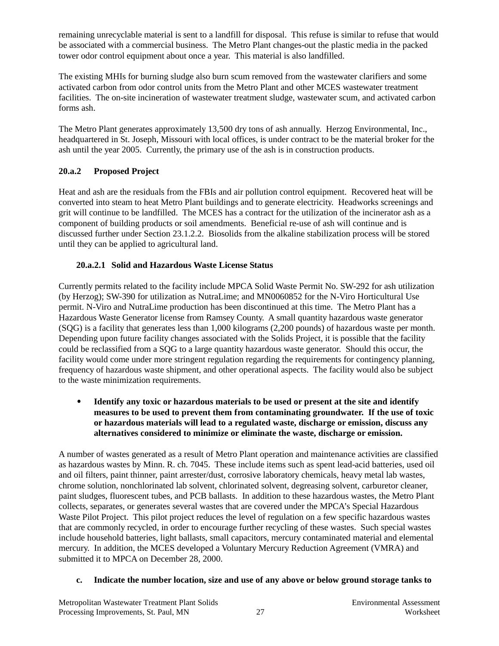remaining unrecyclable material is sent to a landfill for disposal. This refuse is similar to refuse that would be associated with a commercial business. The Metro Plant changes-out the plastic media in the packed tower odor control equipment about once a year. This material is also landfilled.

The existing MHIs for burning sludge also burn scum removed from the wastewater clarifiers and some activated carbon from odor control units from the Metro Plant and other MCES wastewater treatment facilities. The on-site incineration of wastewater treatment sludge, wastewater scum, and activated carbon forms ash.

The Metro Plant generates approximately 13,500 dry tons of ash annually. Herzog Environmental, Inc., headquartered in St. Joseph, Missouri with local offices, is under contract to be the material broker for the ash until the year 2005. Currently, the primary use of the ash is in construction products.

# **20.a.2 Proposed Project**

Heat and ash are the residuals from the FBIs and air pollution control equipment. Recovered heat will be converted into steam to heat Metro Plant buildings and to generate electricity. Headworks screenings and grit will continue to be landfilled. The MCES has a contract for the utilization of the incinerator ash as a component of building products or soil amendments. Beneficial re-use of ash will continue and is discussed further under Section 23.1.2.2. Biosolids from the alkaline stabilization process will be stored until they can be applied to agricultural land.

#### **20.a.2.1 Solid and Hazardous Waste License Status**

Currently permits related to the facility include MPCA Solid Waste Permit No. SW-292 for ash utilization (by Herzog); SW-390 for utilization as NutraLime; and MN0060852 for the N-Viro Horticultural Use permit. N-Viro and NutraLime production has been discontinued at this time. The Metro Plant has a Hazardous Waste Generator license from Ramsey County. A small quantity hazardous waste generator (SQG) is a facility that generates less than 1,000 kilograms (2,200 pounds) of hazardous waste per month. Depending upon future facility changes associated with the Solids Project, it is possible that the facility could be reclassified from a SQG to a large quantity hazardous waste generator. Should this occur, the facility would come under more stringent regulation regarding the requirements for contingency planning, frequency of hazardous waste shipment, and other operational aspects. The facility would also be subject to the waste minimization requirements.

• **Identify any toxic or hazardous materials to be used or present at the site and identify measures to be used to prevent them from contaminating groundwater. If the use of toxic or hazardous materials will lead to a regulated waste, discharge or emission, discuss any alternatives considered to minimize or eliminate the waste, discharge or emission.**

A number of wastes generated as a result of Metro Plant operation and maintenance activities are classified as hazardous wastes by Minn. R. ch. 7045. These include items such as spent lead-acid batteries, used oil and oil filters, paint thinner, paint arrester/dust, corrosive laboratory chemicals, heavy metal lab wastes, chrome solution, nonchlorinated lab solvent, chlorinated solvent, degreasing solvent, carburetor cleaner, paint sludges, fluorescent tubes, and PCB ballasts. In addition to these hazardous wastes, the Metro Plant collects, separates, or generates several wastes that are covered under the MPCA's Special Hazardous Waste Pilot Project. This pilot project reduces the level of regulation on a few specific hazardous wastes that are commonly recycled, in order to encourage further recycling of these wastes. Such special wastes include household batteries, light ballasts, small capacitors, mercury contaminated material and elemental mercury. In addition, the MCES developed a Voluntary Mercury Reduction Agreement (VMRA) and submitted it to MPCA on December 28, 2000.

#### **c. Indicate the number location, size and use of any above or below ground storage tanks to**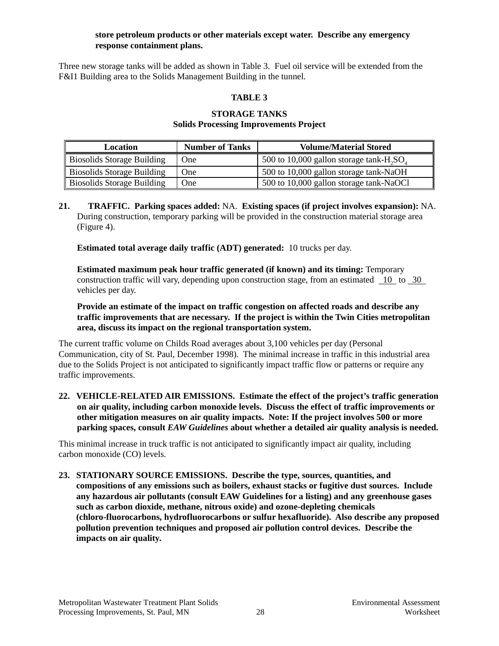#### **store petroleum products or other materials except water. Describe any emergency response containment plans.**

Three new storage tanks will be added as shown in Table 3. Fuel oil service will be extended from the F&I1 Building area to the Solids Management Building in the tunnel.

#### **TABLE 3**

#### **STORAGE TANKS Solids Processing Improvements Project**

| Location                          | <b>Number of Tanks</b> | <b>Volume/Material Stored</b>              |
|-----------------------------------|------------------------|--------------------------------------------|
| <b>Biosolids Storage Building</b> | One.                   | 500 to 10,000 gallon storage tank- $H2SO4$ |
| <b>Biosolids Storage Building</b> | <b>One</b>             | 500 to 10,000 gallon storage tank-NaOH     |
| <b>Biosolids Storage Building</b> | <b>One</b>             | 500 to 10,000 gallon storage tank-NaOCl    |

**21. TRAFFIC. Parking spaces added:** NA. **Existing spaces (if project involves expansion):** NA. During construction, temporary parking will be provided in the construction material storage area (Figure 4).

**Estimated total average daily traffic (ADT) generated:** 10 trucks per day.

**Estimated maximum peak hour traffic generated (if known) and its timing:** Temporary construction traffic will vary, depending upon construction stage, from an estimated 10 to 30 vehicles per day.

**Provide an estimate of the impact on traffic congestion on affected roads and describe any traffic improvements that are necessary. If the project is within the Twin Cities metropolitan area, discuss its impact on the regional transportation system.**

The current traffic volume on Childs Road averages about 3,100 vehicles per day (Personal Communication, city of St. Paul, December 1998). The minimal increase in traffic in this industrial area due to the Solids Project is not anticipated to significantly impact traffic flow or patterns or require any traffic improvements.

**22. VEHICLE-RELATED AIR EMISSIONS. Estimate the effect of the project's traffic generation on air quality, including carbon monoxide levels. Discuss the effect of traffic improvements or other mitigation measures on air quality impacts. Note: If the project involves 500 or more parking spaces, consult** *EAW Guidelines* **about whether a detailed air quality analysis is needed.**

This minimal increase in truck traffic is not anticipated to significantly impact air quality, including carbon monoxide (CO) levels.

**23. STATIONARY SOURCE EMISSIONS. Describe the type, sources, quantities, and compositions of any emissions such as boilers, exhaust stacks or fugitive dust sources. Include any hazardous air pollutants (consult EAW Guidelines for a listing) and any greenhouse gases such as carbon dioxide, methane, nitrous oxide) and ozone-depleting chemicals (chloro-fluorocarbons, hydrofluorocarbons or sulfur hexafluoride). Also describe any proposed pollution prevention techniques and proposed air pollution control devices. Describe the impacts on air quality.**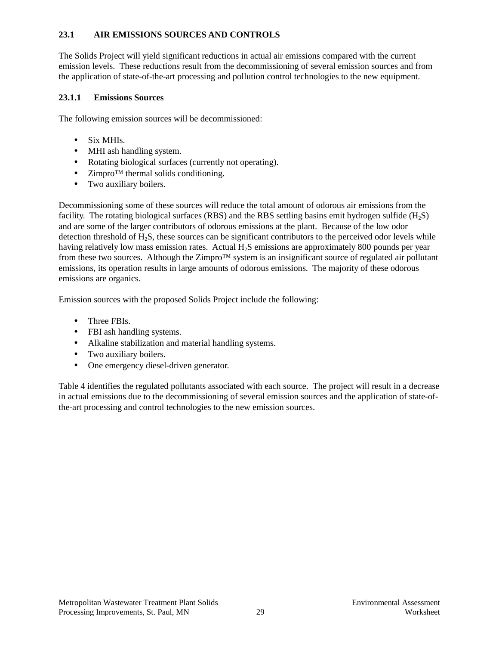#### **23.1 AIR EMISSIONS SOURCES AND CONTROLS**

The Solids Project will yield significant reductions in actual air emissions compared with the current emission levels. These reductions result from the decommissioning of several emission sources and from the application of state-of-the-art processing and pollution control technologies to the new equipment.

#### **23.1.1 Emissions Sources**

The following emission sources will be decommissioned:

- Six MHIs.
- MHI ash handling system.
- Rotating biological surfaces (currently not operating).
- Zimpro<sup>TM</sup> thermal solids conditioning.
- Two auxiliary boilers.

Decommissioning some of these sources will reduce the total amount of odorous air emissions from the facility. The rotating biological surfaces (RBS) and the RBS settling basins emit hydrogen sulfide  $(H_2S)$ and are some of the larger contributors of odorous emissions at the plant. Because of the low odor detection threshold of  $H_2S$ , these sources can be significant contributors to the perceived odor levels while having relatively low mass emission rates. Actual H<sub>2</sub>S emissions are approximately 800 pounds per year from these two sources. Although the Zimpro™ system is an insignificant source of regulated air pollutant emissions, its operation results in large amounts of odorous emissions. The majority of these odorous emissions are organics.

Emission sources with the proposed Solids Project include the following:

- Three FBIs.
- FBI ash handling systems.
- Alkaline stabilization and material handling systems.
- Two auxiliary boilers.
- One emergency diesel-driven generator.

Table 4 identifies the regulated pollutants associated with each source. The project will result in a decrease in actual emissions due to the decommissioning of several emission sources and the application of state-ofthe-art processing and control technologies to the new emission sources.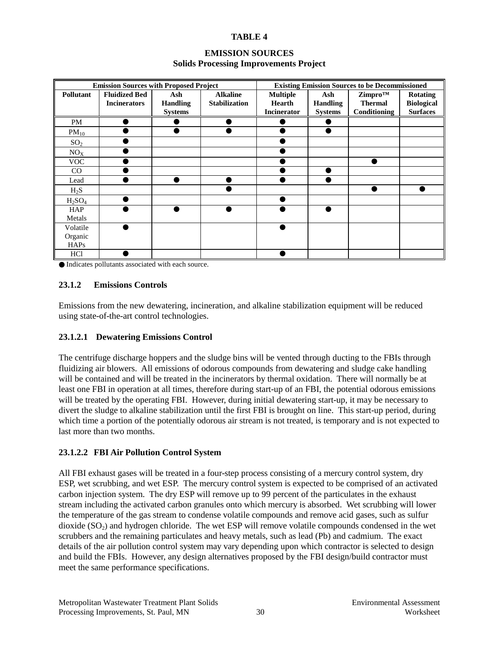#### **TABLE 4**

| <b>EMISSION SOURCES</b>                       |  |
|-----------------------------------------------|--|
| <b>Solids Processing Improvements Project</b> |  |

| <b>Emission Sources with Proposed Project</b> |                      |                 |                      | <b>Existing Emission Sources to be Decommissioned</b> |                 |                |                   |
|-----------------------------------------------|----------------------|-----------------|----------------------|-------------------------------------------------------|-----------------|----------------|-------------------|
| Pollutant                                     | <b>Fluidized Bed</b> | Ash             | <b>Alkaline</b>      | <b>Multiple</b>                                       | Ash             | Zimpro™        | <b>Rotating</b>   |
|                                               | <b>Incinerators</b>  | <b>Handling</b> | <b>Stabilization</b> | <b>Hearth</b>                                         | <b>Handling</b> | <b>Thermal</b> | <b>Biological</b> |
|                                               |                      | <b>Systems</b>  |                      | <b>Incinerator</b>                                    | <b>Systems</b>  | Conditioning   | <b>Surfaces</b>   |
| <b>PM</b>                                     |                      |                 |                      |                                                       |                 |                |                   |
| $PM_{10}$                                     |                      |                 |                      |                                                       |                 |                |                   |
| SO <sub>2</sub>                               |                      |                 |                      |                                                       |                 |                |                   |
| NO <sub>X</sub>                               |                      |                 |                      |                                                       |                 |                |                   |
| <b>VOC</b>                                    |                      |                 |                      |                                                       |                 |                |                   |
| CO                                            |                      |                 |                      |                                                       |                 |                |                   |
| Lead                                          |                      |                 |                      |                                                       |                 |                |                   |
| $H_2S$                                        |                      |                 |                      |                                                       |                 |                |                   |
| $H_2SO_4$                                     |                      |                 |                      |                                                       |                 |                |                   |
| <b>HAP</b>                                    |                      |                 |                      |                                                       |                 |                |                   |
| Metals                                        |                      |                 |                      |                                                       |                 |                |                   |
| Volatile                                      |                      |                 |                      |                                                       |                 |                |                   |
| Organic                                       |                      |                 |                      |                                                       |                 |                |                   |
| <b>HAPs</b>                                   |                      |                 |                      |                                                       |                 |                |                   |
| HCl                                           |                      |                 |                      |                                                       |                 |                |                   |

● Indicates pollutants associated with each source.

#### **23.1.2 Emissions Controls**

Emissions from the new dewatering, incineration, and alkaline stabilization equipment will be reduced using state-of-the-art control technologies.

#### **23.1.2.1 Dewatering Emissions Control**

The centrifuge discharge hoppers and the sludge bins will be vented through ducting to the FBIs through fluidizing air blowers. All emissions of odorous compounds from dewatering and sludge cake handling will be contained and will be treated in the incinerators by thermal oxidation. There will normally be at least one FBI in operation at all times, therefore during start-up of an FBI, the potential odorous emissions will be treated by the operating FBI. However, during initial dewatering start-up, it may be necessary to divert the sludge to alkaline stabilization until the first FBI is brought on line. This start-up period, during which time a portion of the potentially odorous air stream is not treated, is temporary and is not expected to last more than two months.

#### **23.1.2.2 FBI Air Pollution Control System**

All FBI exhaust gases will be treated in a four-step process consisting of a mercury control system, dry ESP, wet scrubbing, and wet ESP. The mercury control system is expected to be comprised of an activated carbon injection system. The dry ESP will remove up to 99 percent of the particulates in the exhaust stream including the activated carbon granules onto which mercury is absorbed. Wet scrubbing will lower the temperature of the gas stream to condense volatile compounds and remove acid gases, such as sulfur dioxide  $(SO<sub>2</sub>)$  and hydrogen chloride. The wet ESP will remove volatile compounds condensed in the wet scrubbers and the remaining particulates and heavy metals, such as lead (Pb) and cadmium. The exact details of the air pollution control system may vary depending upon which contractor is selected to design and build the FBIs. However, any design alternatives proposed by the FBI design/build contractor must meet the same performance specifications.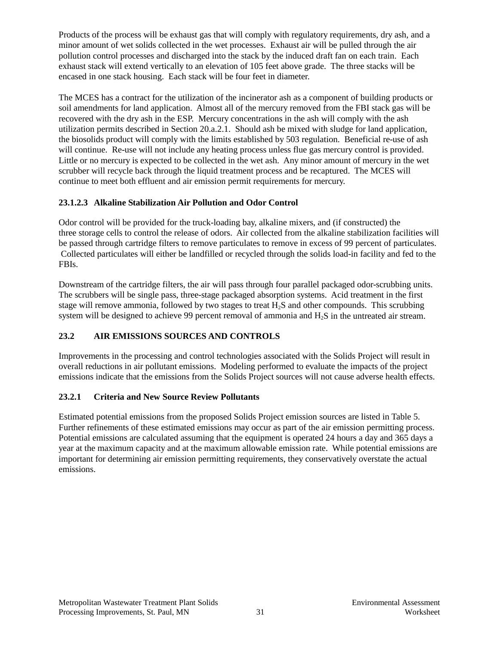Products of the process will be exhaust gas that will comply with regulatory requirements, dry ash, and a minor amount of wet solids collected in the wet processes. Exhaust air will be pulled through the air pollution control processes and discharged into the stack by the induced draft fan on each train. Each exhaust stack will extend vertically to an elevation of 105 feet above grade. The three stacks will be encased in one stack housing. Each stack will be four feet in diameter.

The MCES has a contract for the utilization of the incinerator ash as a component of building products or soil amendments for land application. Almost all of the mercury removed from the FBI stack gas will be recovered with the dry ash in the ESP. Mercury concentrations in the ash will comply with the ash utilization permits described in Section 20.a.2.1. Should ash be mixed with sludge for land application, the biosolids product will comply with the limits established by 503 regulation. Beneficial re-use of ash will continue. Re-use will not include any heating process unless flue gas mercury control is provided. Little or no mercury is expected to be collected in the wet ash. Any minor amount of mercury in the wet scrubber will recycle back through the liquid treatment process and be recaptured. The MCES will continue to meet both effluent and air emission permit requirements for mercury.

# **23.1.2.3 Alkaline Stabilization Air Pollution and Odor Control**

Odor control will be provided for the truck-loading bay, alkaline mixers, and (if constructed) the three storage cells to control the release of odors. Air collected from the alkaline stabilization facilities will be passed through cartridge filters to remove particulates to remove in excess of 99 percent of particulates. Collected particulates will either be landfilled or recycled through the solids load-in facility and fed to the FBIs.

Downstream of the cartridge filters, the air will pass through four parallel packaged odor-scrubbing units. The scrubbers will be single pass, three-stage packaged absorption systems. Acid treatment in the first stage will remove ammonia, followed by two stages to treat  $H_2S$  and other compounds. This scrubbing system will be designed to achieve 99 percent removal of ammonia and H<sub>2</sub>S in the untreated air stream.

# **23.2 AIR EMISSIONS SOURCES AND CONTROLS**

Improvements in the processing and control technologies associated with the Solids Project will result in overall reductions in air pollutant emissions. Modeling performed to evaluate the impacts of the project emissions indicate that the emissions from the Solids Project sources will not cause adverse health effects.

# **23.2.1 Criteria and New Source Review Pollutants**

Estimated potential emissions from the proposed Solids Project emission sources are listed in Table 5. Further refinements of these estimated emissions may occur as part of the air emission permitting process. Potential emissions are calculated assuming that the equipment is operated 24 hours a day and 365 days a year at the maximum capacity and at the maximum allowable emission rate. While potential emissions are important for determining air emission permitting requirements, they conservatively overstate the actual emissions.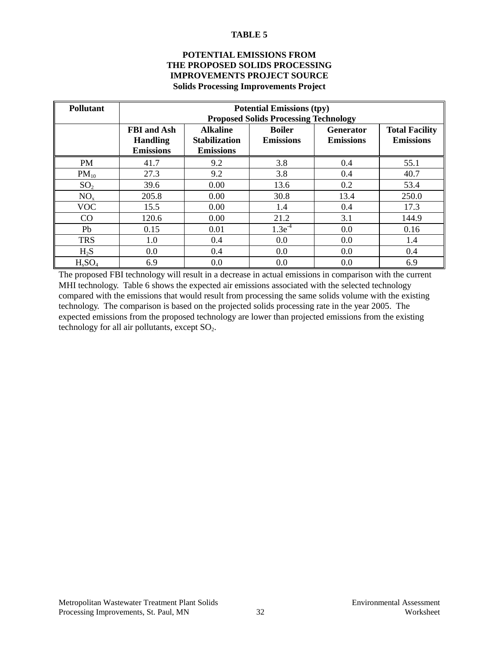#### **TABLE 5**

#### **POTENTIAL EMISSIONS FROM THE PROPOSED SOLIDS PROCESSING IMPROVEMENTS PROJECT SOURCE Solids Processing Improvements Project**

| <b>Pollutant</b> | <b>Potential Emissions (tpy)</b> |                      |                                              |                  |                       |  |  |
|------------------|----------------------------------|----------------------|----------------------------------------------|------------------|-----------------------|--|--|
|                  |                                  |                      | <b>Proposed Solids Processing Technology</b> |                  |                       |  |  |
|                  | <b>FBI</b> and Ash               | <b>Alkaline</b>      | <b>Boiler</b>                                | Generator        | <b>Total Facility</b> |  |  |
|                  | <b>Handling</b>                  | <b>Stabilization</b> | <b>Emissions</b>                             | <b>Emissions</b> | <b>Emissions</b>      |  |  |
|                  | <b>Emissions</b>                 | <b>Emissions</b>     |                                              |                  |                       |  |  |
| <b>PM</b>        | 41.7                             | 9.2                  | 3.8                                          | 0.4              | 55.1                  |  |  |
| $PM_{10}$        | 27.3                             | 9.2                  | 3.8                                          | 0.4              | 40.7                  |  |  |
| SO <sub>2</sub>  | 39.6                             | 0.00                 | 13.6                                         | 0.2              | 53.4                  |  |  |
| NO <sub>x</sub>  | 205.8                            | 0.00                 | 30.8                                         | 13.4             | 250.0                 |  |  |
| <b>VOC</b>       | 15.5                             | 0.00                 | 1.4                                          | 0.4              | 17.3                  |  |  |
| CO               | 120.6                            | 0.00                 | 21.2                                         | 3.1              | 144.9                 |  |  |
| Pb               | 0.15                             | 0.01                 | $1.3e^{-4}$                                  | 0.0              | 0.16                  |  |  |
| <b>TRS</b>       | 1.0                              | 0.4                  | 0.0                                          | 0.0              | 1.4                   |  |  |
| $H_2S$           | 0.0                              | 0.4                  | 0.0                                          | 0.0              | 0.4                   |  |  |
| $H_sSO_4$        | 6.9                              | 0.0                  | 0.0                                          | 0.0              | 6.9                   |  |  |

The proposed FBI technology will result in a decrease in actual emissions in comparison with the current MHI technology. Table 6 shows the expected air emissions associated with the selected technology compared with the emissions that would result from processing the same solids volume with the existing technology. The comparison is based on the projected solids processing rate in the year 2005. The expected emissions from the proposed technology are lower than projected emissions from the existing technology for all air pollutants, except  $SO_2$ .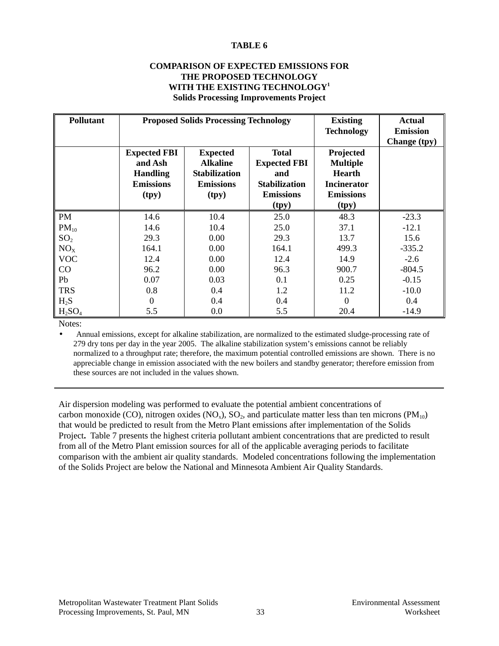#### **TABLE 6**

#### **COMPARISON OF EXPECTED EMISSIONS FOR THE PROPOSED TECHNOLOGY WITH THE EXISTING TECHNOLOGY1 Solids Processing Improvements Project**

| <b>Pollutant</b> |                                                                                | <b>Proposed Solids Processing Technology</b>                                            | <b>Existing</b><br><b>Technology</b>                                                            | <b>Actual</b><br><b>Emission</b><br>Change (tpy)                                                 |          |
|------------------|--------------------------------------------------------------------------------|-----------------------------------------------------------------------------------------|-------------------------------------------------------------------------------------------------|--------------------------------------------------------------------------------------------------|----------|
|                  | <b>Expected FBI</b><br>and Ash<br><b>Handling</b><br><b>Emissions</b><br>(tpy) | <b>Expected</b><br><b>Alkaline</b><br><b>Stabilization</b><br><b>Emissions</b><br>(tpy) | <b>Total</b><br><b>Expected FBI</b><br>and<br><b>Stabilization</b><br><b>Emissions</b><br>(tpy) | Projected<br><b>Multiple</b><br><b>Hearth</b><br><b>Incinerator</b><br><b>Emissions</b><br>(tpy) |          |
| PM               | 14.6                                                                           | 10.4                                                                                    | 25.0                                                                                            | 48.3                                                                                             | $-23.3$  |
| $PM_{10}$        | 14.6                                                                           | 10.4                                                                                    | 25.0                                                                                            | 37.1                                                                                             | $-12.1$  |
| SO <sub>2</sub>  | 29.3                                                                           | 0.00                                                                                    | 29.3                                                                                            | 13.7                                                                                             | 15.6     |
| NO <sub>x</sub>  | 164.1                                                                          | 0.00                                                                                    | 164.1                                                                                           | 499.3                                                                                            | $-335.2$ |
| <b>VOC</b>       | 12.4                                                                           | 0.00                                                                                    | 12.4                                                                                            | 14.9                                                                                             | $-2.6$   |
| CO               | 96.2                                                                           | 0.00                                                                                    | 96.3                                                                                            | 900.7                                                                                            | $-804.5$ |
| Pb               | 0.07                                                                           | 0.03                                                                                    | 0.1                                                                                             | 0.25                                                                                             | $-0.15$  |
| <b>TRS</b>       | 0.8                                                                            | 0.4                                                                                     | 1.2                                                                                             | 11.2                                                                                             | $-10.0$  |
| $H_2S$           | $\Omega$                                                                       | 0.4                                                                                     | 0.4                                                                                             | $\overline{0}$                                                                                   | 0.4      |
| $H_2SO_4$        | 5.5                                                                            | 0.0                                                                                     | 5.5                                                                                             | 20.4                                                                                             | $-14.9$  |

Notes:

• Annual emissions, except for alkaline stabilization, are normalized to the estimated sludge-processing rate of 279 dry tons per day in the year 2005. The alkaline stabilization system's emissions cannot be reliably normalized to a throughput rate; therefore, the maximum potential controlled emissions are shown. There is no appreciable change in emission associated with the new boilers and standby generator; therefore emission from these sources are not included in the values shown.

Air dispersion modeling was performed to evaluate the potential ambient concentrations of carbon monoxide (CO), nitrogen oxides (NO<sub>x</sub>), SO<sub>2</sub>, and particulate matter less than ten microns (PM<sub>10</sub>) that would be predicted to result from the Metro Plant emissions after implementation of the Solids Project**.** Table 7 presents the highest criteria pollutant ambient concentrations that are predicted to result from all of the Metro Plant emission sources for all of the applicable averaging periods to facilitate comparison with the ambient air quality standards. Modeled concentrations following the implementation of the Solids Project are below the National and Minnesota Ambient Air Quality Standards.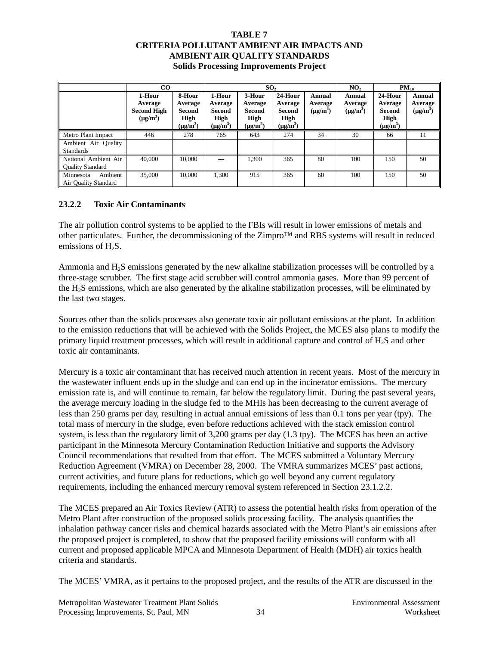#### **TABLE 7 CRITERIA POLLUTANT AMBIENT AIR IMPACTS AND AMBIENT AIR QUALITY STANDARDS Solids Processing Improvements Project**

|                                                 | CO <sub>1</sub><br>SO <sub>2</sub>                       |                                                      |                                                      | NO <sub>2</sub>                                         |                                                       | $PM_{10}$                          |                                    |                                                       |                                    |
|-------------------------------------------------|----------------------------------------------------------|------------------------------------------------------|------------------------------------------------------|---------------------------------------------------------|-------------------------------------------------------|------------------------------------|------------------------------------|-------------------------------------------------------|------------------------------------|
|                                                 | 1-Hour<br>Average<br><b>Second High</b><br>$(\mu g/m^3)$ | 8-Hour<br>Average<br>Second<br>High<br>$(\mu g/m^3)$ | 1-Hour<br>Average<br>Second<br>High<br>$(\mu g/m^3)$ | 3-Hour<br>Average<br>Second<br>High<br>$(\mu$ g/m $^3)$ | 24-Hour<br>Average<br>Second<br>High<br>$(\mu g/m^3)$ | Annual<br>Average<br>$(\mu g/m^3)$ | Annual<br>Average<br>$(\mu g/m^3)$ | 24-Hour<br>Average<br>Second<br>High<br>$(\mu g/m^3)$ | Annual<br>Average<br>$(\mu g/m^3)$ |
| Metro Plant Impact                              | 446                                                      | 278                                                  | 765                                                  | 643                                                     | 274                                                   | 34                                 | 30                                 | 66                                                    | 11                                 |
| Ambient Air Quality<br><b>Standards</b>         |                                                          |                                                      |                                                      |                                                         |                                                       |                                    |                                    |                                                       |                                    |
| National Ambient Air<br><b>Quality Standard</b> | 40,000                                                   | 10,000                                               |                                                      | 1,300                                                   | 365                                                   | 80                                 | 100                                | 150                                                   | 50                                 |
| Ambient<br>Minnesota<br>Air Quality Standard    | 35,000                                                   | 10.000                                               | 1.300                                                | 915                                                     | 365                                                   | 60                                 | 100                                | 150                                                   | 50                                 |

# **23.2.2 Toxic Air Contaminants**

The air pollution control systems to be applied to the FBIs will result in lower emissions of metals and other particulates. Further, the decommissioning of the Zimpro™ and RBS systems will result in reduced emissions of  $H_2S$ .

Ammonia and H<sub>2</sub>S emissions generated by the new alkaline stabilization processes will be controlled by a three-stage scrubber. The first stage acid scrubber will control ammonia gases. More than 99 percent of the H2S emissions, which are also generated by the alkaline stabilization processes, will be eliminated by the last two stages.

Sources other than the solids processes also generate toxic air pollutant emissions at the plant. In addition to the emission reductions that will be achieved with the Solids Project, the MCES also plans to modify the primary liquid treatment processes, which will result in additional capture and control of H2S and other toxic air contaminants.

Mercury is a toxic air contaminant that has received much attention in recent years. Most of the mercury in the wastewater influent ends up in the sludge and can end up in the incinerator emissions. The mercury emission rate is, and will continue to remain, far below the regulatory limit. During the past several years, the average mercury loading in the sludge fed to the MHIs has been decreasing to the current average of less than 250 grams per day, resulting in actual annual emissions of less than 0.1 tons per year (tpy). The total mass of mercury in the sludge, even before reductions achieved with the stack emission control system, is less than the regulatory limit of 3,200 grams per day (1.3 tpy). The MCES has been an active participant in the Minnesota Mercury Contamination Reduction Initiative and supports the Advisory Council recommendations that resulted from that effort. The MCES submitted a Voluntary Mercury Reduction Agreement (VMRA) on December 28, 2000. The VMRA summarizes MCES' past actions, current activities, and future plans for reductions, which go well beyond any current regulatory requirements, including the enhanced mercury removal system referenced in Section 23.1.2.2.

The MCES prepared an Air Toxics Review (ATR) to assess the potential health risks from operation of the Metro Plant after construction of the proposed solids processing facility. The analysis quantifies the inhalation pathway cancer risks and chemical hazards associated with the Metro Plant's air emissions after the proposed project is completed, to show that the proposed facility emissions will conform with all current and proposed applicable MPCA and Minnesota Department of Health (MDH) air toxics health criteria and standards.

The MCES' VMRA, as it pertains to the proposed project, and the results of the ATR are discussed in the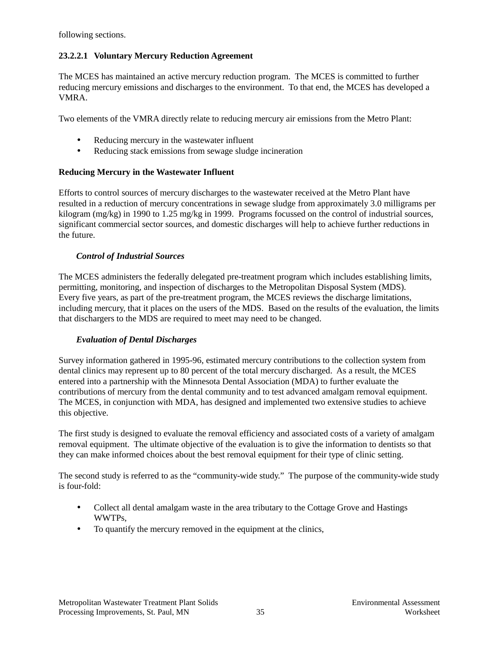following sections.

#### **23.2.2.1 Voluntary Mercury Reduction Agreement**

The MCES has maintained an active mercury reduction program. The MCES is committed to further reducing mercury emissions and discharges to the environment. To that end, the MCES has developed a VMRA.

Two elements of the VMRA directly relate to reducing mercury air emissions from the Metro Plant:

- Reducing mercury in the wastewater influent
- Reducing stack emissions from sewage sludge incineration

#### **Reducing Mercury in the Wastewater Influent**

Efforts to control sources of mercury discharges to the wastewater received at the Metro Plant have resulted in a reduction of mercury concentrations in sewage sludge from approximately 3.0 milligrams per kilogram (mg/kg) in 1990 to 1.25 mg/kg in 1999. Programs focussed on the control of industrial sources, significant commercial sector sources, and domestic discharges will help to achieve further reductions in the future.

#### *Control of Industrial Sources*

The MCES administers the federally delegated pre-treatment program which includes establishing limits, permitting, monitoring, and inspection of discharges to the Metropolitan Disposal System (MDS). Every five years, as part of the pre-treatment program, the MCES reviews the discharge limitations, including mercury, that it places on the users of the MDS. Based on the results of the evaluation, the limits that dischargers to the MDS are required to meet may need to be changed.

#### *Evaluation of Dental Discharges*

Survey information gathered in 1995-96, estimated mercury contributions to the collection system from dental clinics may represent up to 80 percent of the total mercury discharged. As a result, the MCES entered into a partnership with the Minnesota Dental Association (MDA) to further evaluate the contributions of mercury from the dental community and to test advanced amalgam removal equipment. The MCES, in conjunction with MDA, has designed and implemented two extensive studies to achieve this objective.

The first study is designed to evaluate the removal efficiency and associated costs of a variety of amalgam removal equipment. The ultimate objective of the evaluation is to give the information to dentists so that they can make informed choices about the best removal equipment for their type of clinic setting.

The second study is referred to as the "community-wide study." The purpose of the community-wide study is four-fold:

- Collect all dental amalgam waste in the area tributary to the Cottage Grove and Hastings WWTPs,
- To quantify the mercury removed in the equipment at the clinics,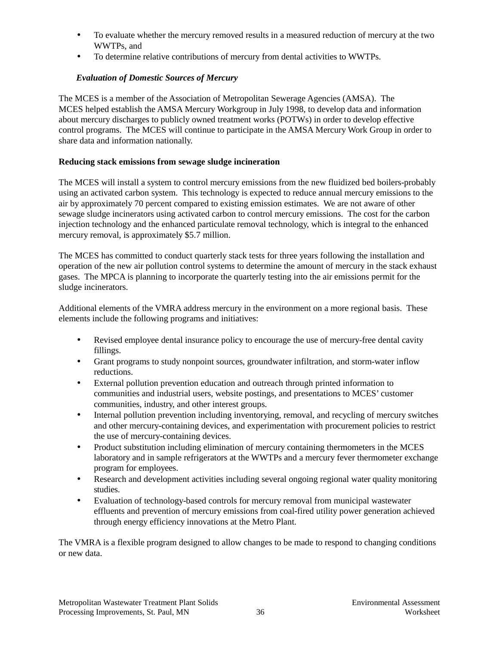- To evaluate whether the mercury removed results in a measured reduction of mercury at the two WWTPs, and
- To determine relative contributions of mercury from dental activities to WWTPs.

# *Evaluation of Domestic Sources of Mercury*

The MCES is a member of the Association of Metropolitan Sewerage Agencies (AMSA). The MCES helped establish the AMSA Mercury Workgroup in July 1998, to develop data and information about mercury discharges to publicly owned treatment works (POTWs) in order to develop effective control programs. The MCES will continue to participate in the AMSA Mercury Work Group in order to share data and information nationally.

#### **Reducing stack emissions from sewage sludge incineration**

The MCES will install a system to control mercury emissions from the new fluidized bed boilers-probably using an activated carbon system. This technology is expected to reduce annual mercury emissions to the air by approximately 70 percent compared to existing emission estimates. We are not aware of other sewage sludge incinerators using activated carbon to control mercury emissions. The cost for the carbon injection technology and the enhanced particulate removal technology, which is integral to the enhanced mercury removal, is approximately \$5.7 million.

The MCES has committed to conduct quarterly stack tests for three years following the installation and operation of the new air pollution control systems to determine the amount of mercury in the stack exhaust gases. The MPCA is planning to incorporate the quarterly testing into the air emissions permit for the sludge incinerators.

Additional elements of the VMRA address mercury in the environment on a more regional basis. These elements include the following programs and initiatives:

- Revised employee dental insurance policy to encourage the use of mercury-free dental cavity fillings.
- Grant programs to study nonpoint sources, groundwater infiltration, and storm-water inflow reductions.
- External pollution prevention education and outreach through printed information to communities and industrial users, website postings, and presentations to MCES' customer communities, industry, and other interest groups.
- Internal pollution prevention including inventorying, removal, and recycling of mercury switches and other mercury-containing devices, and experimentation with procurement policies to restrict the use of mercury-containing devices.
- Product substitution including elimination of mercury containing thermometers in the MCES laboratory and in sample refrigerators at the WWTPs and a mercury fever thermometer exchange program for employees.
- Research and development activities including several ongoing regional water quality monitoring studies.
- Evaluation of technology-based controls for mercury removal from municipal wastewater effluents and prevention of mercury emissions from coal-fired utility power generation achieved through energy efficiency innovations at the Metro Plant.

The VMRA is a flexible program designed to allow changes to be made to respond to changing conditions or new data.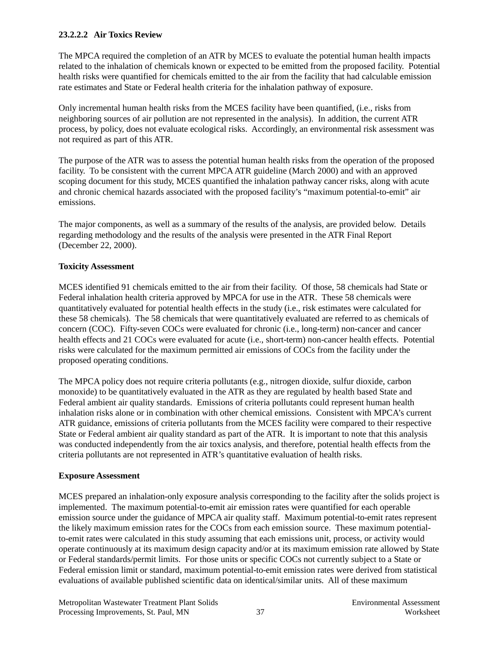#### **23.2.2.2 Air Toxics Review**

The MPCA required the completion of an ATR by MCES to evaluate the potential human health impacts related to the inhalation of chemicals known or expected to be emitted from the proposed facility. Potential health risks were quantified for chemicals emitted to the air from the facility that had calculable emission rate estimates and State or Federal health criteria for the inhalation pathway of exposure.

Only incremental human health risks from the MCES facility have been quantified, (i.e., risks from neighboring sources of air pollution are not represented in the analysis). In addition, the current ATR process, by policy, does not evaluate ecological risks. Accordingly, an environmental risk assessment was not required as part of this ATR.

The purpose of the ATR was to assess the potential human health risks from the operation of the proposed facility. To be consistent with the current MPCA ATR guideline (March 2000) and with an approved scoping document for this study, MCES quantified the inhalation pathway cancer risks, along with acute and chronic chemical hazards associated with the proposed facility's "maximum potential-to-emit" air emissions.

The major components, as well as a summary of the results of the analysis, are provided below. Details regarding methodology and the results of the analysis were presented in the ATR Final Report (December 22, 2000).

#### **Toxicity Assessment**

MCES identified 91 chemicals emitted to the air from their facility. Of those, 58 chemicals had State or Federal inhalation health criteria approved by MPCA for use in the ATR. These 58 chemicals were quantitatively evaluated for potential health effects in the study (i.e., risk estimates were calculated for these 58 chemicals). The 58 chemicals that were quantitatively evaluated are referred to as chemicals of concern (COC). Fifty-seven COCs were evaluated for chronic (i.e., long-term) non-cancer and cancer health effects and 21 COCs were evaluated for acute (i.e., short-term) non-cancer health effects. Potential risks were calculated for the maximum permitted air emissions of COCs from the facility under the proposed operating conditions.

The MPCA policy does not require criteria pollutants (e.g., nitrogen dioxide, sulfur dioxide, carbon monoxide) to be quantitatively evaluated in the ATR as they are regulated by health based State and Federal ambient air quality standards. Emissions of criteria pollutants could represent human health inhalation risks alone or in combination with other chemical emissions. Consistent with MPCA's current ATR guidance, emissions of criteria pollutants from the MCES facility were compared to their respective State or Federal ambient air quality standard as part of the ATR. It is important to note that this analysis was conducted independently from the air toxics analysis, and therefore, potential health effects from the criteria pollutants are not represented in ATR's quantitative evaluation of health risks.

#### **Exposure Assessment**

MCES prepared an inhalation-only exposure analysis corresponding to the facility after the solids project is implemented. The maximum potential-to-emit air emission rates were quantified for each operable emission source under the guidance of MPCA air quality staff. Maximum potential-to-emit rates represent the likely maximum emission rates for the COCs from each emission source. These maximum potentialto-emit rates were calculated in this study assuming that each emissions unit, process, or activity would operate continuously at its maximum design capacity and/or at its maximum emission rate allowed by State or Federal standards/permit limits. For those units or specific COCs not currently subject to a State or Federal emission limit or standard, maximum potential-to-emit emission rates were derived from statistical evaluations of available published scientific data on identical/similar units. All of these maximum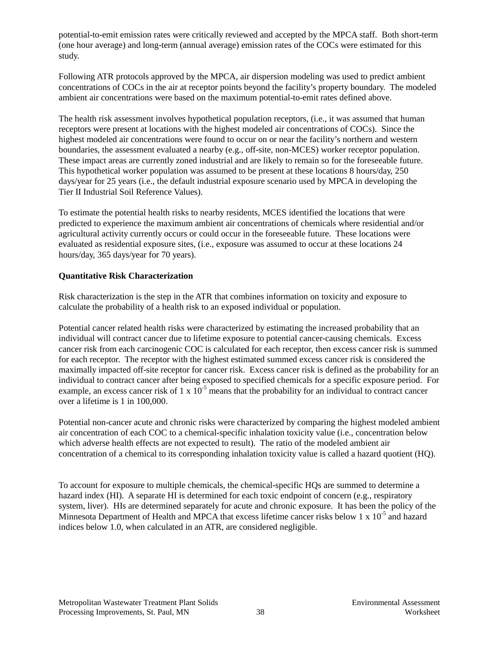potential-to-emit emission rates were critically reviewed and accepted by the MPCA staff. Both short-term (one hour average) and long-term (annual average) emission rates of the COCs were estimated for this study.

Following ATR protocols approved by the MPCA, air dispersion modeling was used to predict ambient concentrations of COCs in the air at receptor points beyond the facility's property boundary. The modeled ambient air concentrations were based on the maximum potential-to-emit rates defined above.

The health risk assessment involves hypothetical population receptors, (i.e., it was assumed that human receptors were present at locations with the highest modeled air concentrations of COCs). Since the highest modeled air concentrations were found to occur on or near the facility's northern and western boundaries, the assessment evaluated a nearby (e.g., off-site, non-MCES) worker receptor population. These impact areas are currently zoned industrial and are likely to remain so for the foreseeable future. This hypothetical worker population was assumed to be present at these locations 8 hours/day, 250 days/year for 25 years (i.e., the default industrial exposure scenario used by MPCA in developing the Tier II Industrial Soil Reference Values).

To estimate the potential health risks to nearby residents, MCES identified the locations that were predicted to experience the maximum ambient air concentrations of chemicals where residential and/or agricultural activity currently occurs or could occur in the foreseeable future. These locations were evaluated as residential exposure sites, (i.e., exposure was assumed to occur at these locations 24 hours/day, 365 days/year for 70 years).

#### **Quantitative Risk Characterization**

Risk characterization is the step in the ATR that combines information on toxicity and exposure to calculate the probability of a health risk to an exposed individual or population.

Potential cancer related health risks were characterized by estimating the increased probability that an individual will contract cancer due to lifetime exposure to potential cancer-causing chemicals. Excess cancer risk from each carcinogenic COC is calculated for each receptor, then excess cancer risk is summed for each receptor. The receptor with the highest estimated summed excess cancer risk is considered the maximally impacted off-site receptor for cancer risk. Excess cancer risk is defined as the probability for an individual to contract cancer after being exposed to specified chemicals for a specific exposure period. For example, an excess cancer risk of 1 x  $10^{-5}$  means that the probability for an individual to contract cancer over a lifetime is 1 in 100,000.

Potential non-cancer acute and chronic risks were characterized by comparing the highest modeled ambient air concentration of each COC to a chemical-specific inhalation toxicity value (i.e., concentration below which adverse health effects are not expected to result). The ratio of the modeled ambient air concentration of a chemical to its corresponding inhalation toxicity value is called a hazard quotient (HQ).

To account for exposure to multiple chemicals, the chemical-specific HQs are summed to determine a hazard index (HI). A separate HI is determined for each toxic endpoint of concern (e.g., respiratory system, liver). HIs are determined separately for acute and chronic exposure. It has been the policy of the Minnesota Department of Health and MPCA that excess lifetime cancer risks below 1 x 10<sup>-5</sup> and hazard indices below 1.0, when calculated in an ATR, are considered negligible.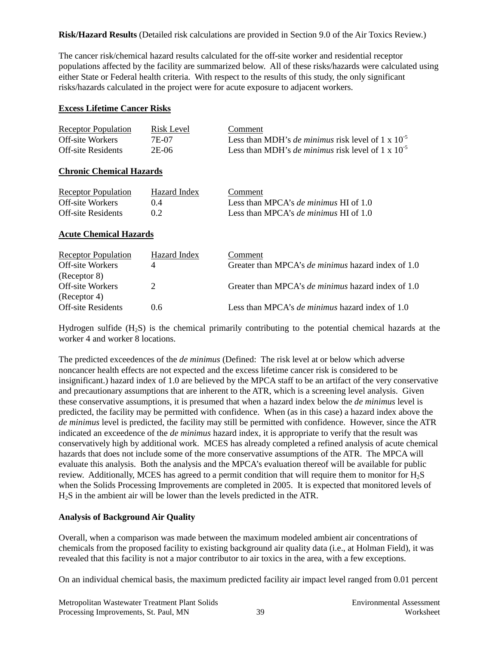**Risk/Hazard Results** (Detailed risk calculations are provided in Section 9.0 of the Air Toxics Review.)

The cancer risk/chemical hazard results calculated for the off-site worker and residential receptor populations affected by the facility are summarized below. All of these risks/hazards were calculated using either State or Federal health criteria. With respect to the results of this study, the only significant risks/hazards calculated in the project were for acute exposure to adjacent workers.

#### **Excess Lifetime Cancer Risks**

| <b>Receptor Population</b> | Risk Level | Comment                                                       |
|----------------------------|------------|---------------------------------------------------------------|
| Off-site Workers           | 7E-07      | Less than MDH's <i>de minimus</i> risk level of 1 x $10^{-5}$ |
| <b>Off-site Residents</b>  | 2E-06      | Less than MDH's <i>de minimus</i> risk level of 1 x $10^{-5}$ |

#### **Chronic Chemical Hazards**

| <b>Receptor Population</b> | Hazard Index | Comment                                        |
|----------------------------|--------------|------------------------------------------------|
| Off-site Workers           | (14)         | Less than MPCA's <i>de minimus</i> HI of $1.0$ |
| <b>Off-site Residents</b>  | 02           | Less than MPCA's <i>de minimus</i> HI of $1.0$ |

#### **Acute Chemical Hazards**

| <b>Receptor Population</b> | Hazard Index | Comment                                                   |
|----------------------------|--------------|-----------------------------------------------------------|
| <b>Off-site Workers</b>    |              | Greater than MPCA's <i>de minimus</i> hazard index of 1.0 |
| (Receptor 8)               |              |                                                           |
| Off-site Workers           |              | Greater than MPCA's <i>de minimus</i> hazard index of 1.0 |
| (Receptor 4)               |              |                                                           |
| <b>Off-site Residents</b>  | 06           | Less than MPCA's <i>de minimus</i> hazard index of $1.0$  |

Hydrogen sulfide (H2S) is the chemical primarily contributing to the potential chemical hazards at the worker 4 and worker 8 locations.

The predicted exceedences of the *de minimus* (Defined: The risk level at or below which adverse noncancer health effects are not expected and the excess lifetime cancer risk is considered to be insignificant.) hazard index of 1.0 are believed by the MPCA staff to be an artifact of the very conservative and precautionary assumptions that are inherent to the ATR, which is a screening level analysis. Given these conservative assumptions, it is presumed that when a hazard index below the *de minimus* level is predicted, the facility may be permitted with confidence. When (as in this case) a hazard index above the *de minimus* level is predicted, the facility may still be permitted with confidence. However, since the ATR indicated an exceedence of the *de minimus* hazard index, it is appropriate to verify that the result was conservatively high by additional work. MCES has already completed a refined analysis of acute chemical hazards that does not include some of the more conservative assumptions of the ATR. The MPCA will evaluate this analysis. Both the analysis and the MPCA's evaluation thereof will be available for public review. Additionally, MCES has agreed to a permit condition that will require them to monitor for H2S when the Solids Processing Improvements are completed in 2005. It is expected that monitored levels of H2S in the ambient air will be lower than the levels predicted in the ATR.

#### **Analysis of Background Air Quality**

Overall, when a comparison was made between the maximum modeled ambient air concentrations of chemicals from the proposed facility to existing background air quality data (i.e., at Holman Field), it was revealed that this facility is not a major contributor to air toxics in the area, with a few exceptions.

On an individual chemical basis, the maximum predicted facility air impact level ranged from 0.01 percent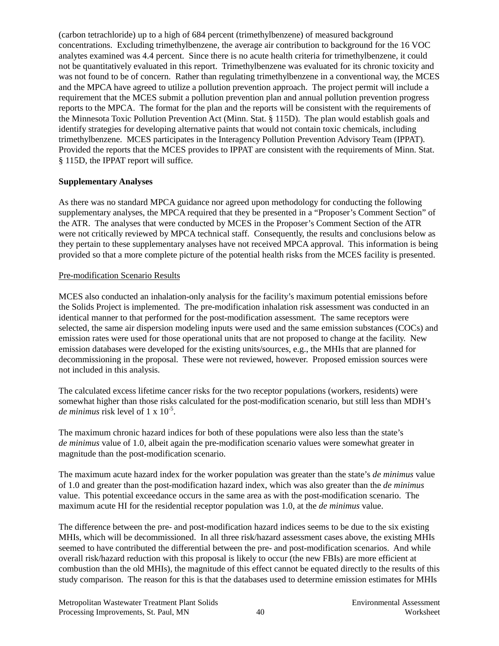(carbon tetrachloride) up to a high of 684 percent (trimethylbenzene) of measured background concentrations. Excluding trimethylbenzene, the average air contribution to background for the 16 VOC analytes examined was 4.4 percent. Since there is no acute health criteria for trimethylbenzene, it could not be quantitatively evaluated in this report. Trimethylbenzene was evaluated for its chronic toxicity and was not found to be of concern. Rather than regulating trimethylbenzene in a conventional way, the MCES and the MPCA have agreed to utilize a pollution prevention approach. The project permit will include a requirement that the MCES submit a pollution prevention plan and annual pollution prevention progress reports to the MPCA. The format for the plan and the reports will be consistent with the requirements of the Minnesota Toxic Pollution Prevention Act (Minn. Stat. § 115D). The plan would establish goals and identify strategies for developing alternative paints that would not contain toxic chemicals, including trimethylbenzene. MCES participates in the Interagency Pollution Prevention Advisory Team (IPPAT). Provided the reports that the MCES provides to IPPAT are consistent with the requirements of Minn. Stat. § 115D, the IPPAT report will suffice.

#### **Supplementary Analyses**

As there was no standard MPCA guidance nor agreed upon methodology for conducting the following supplementary analyses, the MPCA required that they be presented in a "Proposer's Comment Section" of the ATR. The analyses that were conducted by MCES in the Proposer's Comment Section of the ATR were not critically reviewed by MPCA technical staff. Consequently, the results and conclusions below as they pertain to these supplementary analyses have not received MPCA approval. This information is being provided so that a more complete picture of the potential health risks from the MCES facility is presented.

#### Pre-modification Scenario Results

MCES also conducted an inhalation-only analysis for the facility's maximum potential emissions before the Solids Project is implemented. The pre-modification inhalation risk assessment was conducted in an identical manner to that performed for the post-modification assessment. The same receptors were selected, the same air dispersion modeling inputs were used and the same emission substances (COCs) and emission rates were used for those operational units that are not proposed to change at the facility. New emission databases were developed for the existing units/sources, e.g., the MHIs that are planned for decommissioning in the proposal. These were not reviewed, however. Proposed emission sources were not included in this analysis.

The calculated excess lifetime cancer risks for the two receptor populations (workers, residents) were somewhat higher than those risks calculated for the post-modification scenario, but still less than MDH's *de minimus* risk level of 1 x 10-5.

The maximum chronic hazard indices for both of these populations were also less than the state's *de minimus* value of 1.0, albeit again the pre-modification scenario values were somewhat greater in magnitude than the post-modification scenario.

The maximum acute hazard index for the worker population was greater than the state's *de minimus* value of 1.0 and greater than the post-modification hazard index, which was also greater than the *de minimus* value. This potential exceedance occurs in the same area as with the post-modification scenario. The maximum acute HI for the residential receptor population was 1.0, at the *de minimus* value.

The difference between the pre- and post-modification hazard indices seems to be due to the six existing MHIs, which will be decommissioned. In all three risk/hazard assessment cases above, the existing MHIs seemed to have contributed the differential between the pre- and post-modification scenarios. And while overall risk/hazard reduction with this proposal is likely to occur (the new FBIs) are more efficient at combustion than the old MHIs), the magnitude of this effect cannot be equated directly to the results of this study comparison. The reason for this is that the databases used to determine emission estimates for MHIs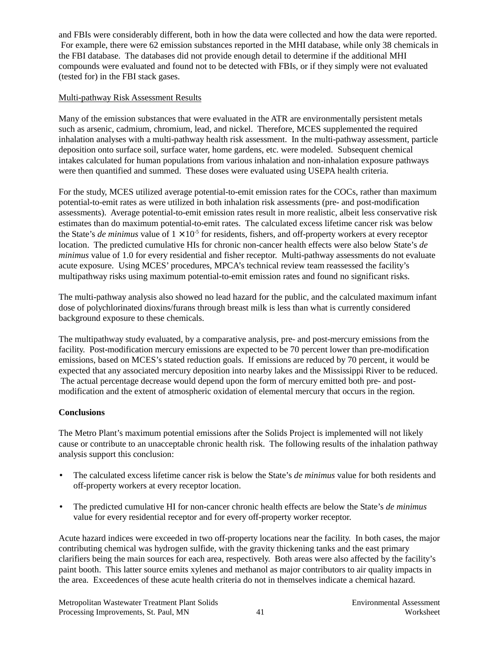and FBIs were considerably different, both in how the data were collected and how the data were reported. For example, there were 62 emission substances reported in the MHI database, while only 38 chemicals in the FBI database. The databases did not provide enough detail to determine if the additional MHI compounds were evaluated and found not to be detected with FBIs, or if they simply were not evaluated (tested for) in the FBI stack gases.

#### Multi-pathway Risk Assessment Results

Many of the emission substances that were evaluated in the ATR are environmentally persistent metals such as arsenic, cadmium, chromium, lead, and nickel. Therefore, MCES supplemented the required inhalation analyses with a multi-pathway health risk assessment. In the multi-pathway assessment, particle deposition onto surface soil, surface water, home gardens, etc. were modeled. Subsequent chemical intakes calculated for human populations from various inhalation and non-inhalation exposure pathways were then quantified and summed. These doses were evaluated using USEPA health criteria.

For the study, MCES utilized average potential-to-emit emission rates for the COCs, rather than maximum potential-to-emit rates as were utilized in both inhalation risk assessments (pre- and post-modification assessments). Average potential-to-emit emission rates result in more realistic, albeit less conservative risk estimates than do maximum potential-to-emit rates. The calculated excess lifetime cancer risk was below the State's *de minimus* value of  $1 \times 10^{-5}$  for residents, fishers, and off-property workers at every receptor location. The predicted cumulative HIs for chronic non-cancer health effects were also below State's *de minimus* value of 1.0 for every residential and fisher receptor. Multi-pathway assessments do not evaluate acute exposure. Using MCES' procedures, MPCA's technical review team reassessed the facility's multipathway risks using maximum potential-to-emit emission rates and found no significant risks.

The multi-pathway analysis also showed no lead hazard for the public, and the calculated maximum infant dose of polychlorinated dioxins/furans through breast milk is less than what is currently considered background exposure to these chemicals.

The multipathway study evaluated, by a comparative analysis, pre- and post-mercury emissions from the facility. Post-modification mercury emissions are expected to be 70 percent lower than pre-modification emissions, based on MCES's stated reduction goals. If emissions are reduced by 70 percent, it would be expected that any associated mercury deposition into nearby lakes and the Mississippi River to be reduced. The actual percentage decrease would depend upon the form of mercury emitted both pre- and postmodification and the extent of atmospheric oxidation of elemental mercury that occurs in the region.

#### **Conclusions**

The Metro Plant's maximum potential emissions after the Solids Project is implemented will not likely cause or contribute to an unacceptable chronic health risk. The following results of the inhalation pathway analysis support this conclusion:

- The calculated excess lifetime cancer risk is below the State's *de minimus* value for both residents and off-property workers at every receptor location.
- The predicted cumulative HI for non-cancer chronic health effects are below the State's *de minimus* value for every residential receptor and for every off-property worker receptor.

Acute hazard indices were exceeded in two off-property locations near the facility. In both cases, the major contributing chemical was hydrogen sulfide, with the gravity thickening tanks and the east primary clarifiers being the main sources for each area, respectively. Both areas were also affected by the facility's paint booth. This latter source emits xylenes and methanol as major contributors to air quality impacts in the area. Exceedences of these acute health criteria do not in themselves indicate a chemical hazard.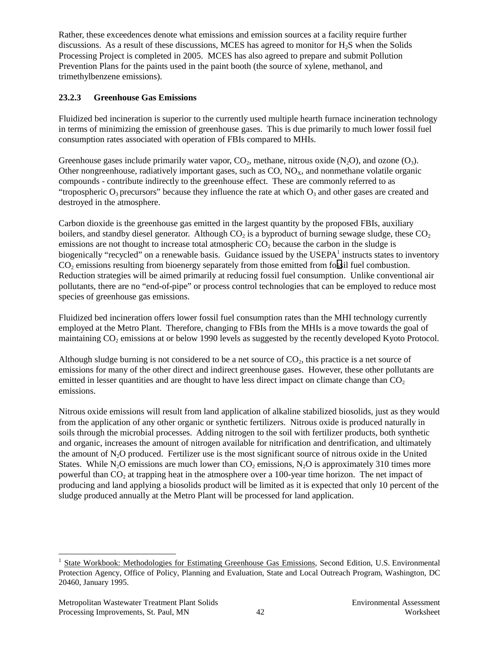Rather, these exceedences denote what emissions and emission sources at a facility require further discussions. As a result of these discussions, MCES has agreed to monitor for H2S when the Solids Processing Project is completed in 2005. MCES has also agreed to prepare and submit Pollution Prevention Plans for the paints used in the paint booth (the source of xylene, methanol, and trimethylbenzene emissions).

## **23.2.3 Greenhouse Gas Emissions**

Fluidized bed incineration is superior to the currently used multiple hearth furnace incineration technology in terms of minimizing the emission of greenhouse gases. This is due primarily to much lower fossil fuel consumption rates associated with operation of FBIs compared to MHIs.

Greenhouse gases include primarily water vapor,  $CO_2$ , methane, nitrous oxide (N<sub>2</sub>O), and ozone (O<sub>3</sub>). Other nongreenhouse, radiatively important gases, such as  $CO$ ,  $NO<sub>x</sub>$ , and nonmethane volatile organic compounds - contribute indirectly to the greenhouse effect. These are commonly referred to as "tropospheric  $O_3$  precursors" because they influence the rate at which  $O_3$  and other gases are created and destroyed in the atmosphere.

Carbon dioxide is the greenhouse gas emitted in the largest quantity by the proposed FBIs, auxiliary boilers, and standby diesel generator. Although  $CO<sub>2</sub>$  is a byproduct of burning sewage sludge, these  $CO<sub>2</sub>$ emissions are not thought to increase total atmospheric  $CO<sub>2</sub>$  because the carbon in the sludge is biogenically "recycled" on a renewable basis. Guidance issued by the USEPA<sup>1</sup> instructs states to inventory CO<sub>2</sub> emissions resulting from bioenergy separately from those emitted from fossil fuel combustion. Reduction strategies will be aimed primarily at reducing fossil fuel consumption. Unlike conventional air pollutants, there are no "end-of-pipe" or process control technologies that can be employed to reduce most species of greenhouse gas emissions.

Fluidized bed incineration offers lower fossil fuel consumption rates than the MHI technology currently employed at the Metro Plant. Therefore, changing to FBIs from the MHIs is a move towards the goal of maintaining CO<sub>2</sub> emissions at or below 1990 levels as suggested by the recently developed Kyoto Protocol.

Although sludge burning is not considered to be a net source of  $CO<sub>2</sub>$ , this practice is a net source of emissions for many of the other direct and indirect greenhouse gases. However, these other pollutants are emitted in lesser quantities and are thought to have less direct impact on climate change than  $CO<sub>2</sub>$ emissions.

Nitrous oxide emissions will result from land application of alkaline stabilized biosolids, just as they would from the application of any other organic or synthetic fertilizers. Nitrous oxide is produced naturally in soils through the microbial processes. Adding nitrogen to the soil with fertilizer products, both synthetic and organic, increases the amount of nitrogen available for nitrification and dentrification, and ultimately the amount of  $N_2O$  produced. Fertilizer use is the most significant source of nitrous oxide in the United States. While N<sub>2</sub>O emissions are much lower than  $CO<sub>2</sub>$  emissions, N<sub>2</sub>O is approximately 310 times more powerful than  $CO<sub>2</sub>$  at trapping heat in the atmosphere over a 100-year time horizon. The net impact of producing and land applying a biosolids product will be limited as it is expected that only 10 percent of the sludge produced annually at the Metro Plant will be processed for land application.

l

<sup>1</sup> State Workbook: Methodologies for Estimating Greenhouse Gas Emissions, Second Edition, U.S. Environmental Protection Agency, Office of Policy, Planning and Evaluation, State and Local Outreach Program, Washington, DC 20460, January 1995.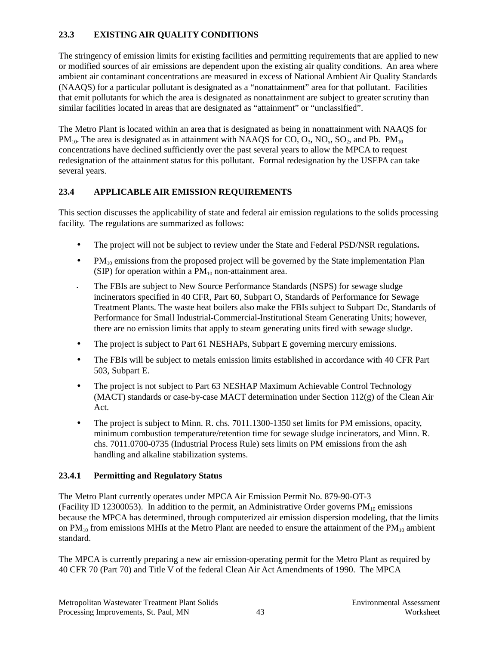# **23.3 EXISTING AIR QUALITY CONDITIONS**

The stringency of emission limits for existing facilities and permitting requirements that are applied to new or modified sources of air emissions are dependent upon the existing air quality conditions. An area where ambient air contaminant concentrations are measured in excess of National Ambient Air Quality Standards (NAAQS) for a particular pollutant is designated as a "nonattainment" area for that pollutant. Facilities that emit pollutants for which the area is designated as nonattainment are subject to greater scrutiny than similar facilities located in areas that are designated as "attainment" or "unclassified".

The Metro Plant is located within an area that is designated as being in nonattainment with NAAQS for  $PM_{10}$ . The area is designated as in attainment with NAAQS for CO,  $O_3$ , NO<sub>x</sub>, SO<sub>2</sub>, and Pb.  $PM_{10}$ concentrations have declined sufficiently over the past several years to allow the MPCA to request redesignation of the attainment status for this pollutant. Formal redesignation by the USEPA can take several years.

#### **23.4 APPLICABLE AIR EMISSION REQUIREMENTS**

This section discusses the applicability of state and federal air emission regulations to the solids processing facility. The regulations are summarized as follows:

- The project will not be subject to review under the State and Federal PSD/NSR regulations**.**
- $PM_{10}$  emissions from the proposed project will be governed by the State implementation Plan (SIP) for operation within a  $PM_{10}$  non-attainment area.
- The FBIs are subject to New Source Performance Standards (NSPS) for sewage sludge incinerators specified in 40 CFR, Part 60, Subpart O, Standards of Performance for Sewage Treatment Plants. The waste heat boilers also make the FBIs subject to Subpart Dc, Standards of Performance for Small Industrial-Commercial-Institutional Steam Generating Units; however, there are no emission limits that apply to steam generating units fired with sewage sludge.
- The project is subject to Part 61 NESHAPs, Subpart E governing mercury emissions.
- The FBIs will be subject to metals emission limits established in accordance with 40 CFR Part 503, Subpart E.
- The project is not subject to Part 63 NESHAP Maximum Achievable Control Technology (MACT) standards or case-by-case MACT determination under Section 112(g) of the Clean Air Act.
- The project is subject to Minn. R. chs. 7011.1300-1350 set limits for PM emissions, opacity, minimum combustion temperature/retention time for sewage sludge incinerators, and Minn. R. chs. 7011.0700-0735 (Industrial Process Rule) sets limits on PM emissions from the ash handling and alkaline stabilization systems.

# **23.4.1 Permitting and Regulatory Status**

The Metro Plant currently operates under MPCA Air Emission Permit No. 879-90-OT-3 (Facility ID 12300053). In addition to the permit, an Administrative Order governs  $PM_{10}$  emissions because the MPCA has determined, through computerized air emission dispersion modeling, that the limits on  $PM_{10}$  from emissions MHIs at the Metro Plant are needed to ensure the attainment of the  $PM_{10}$  ambient standard.

The MPCA is currently preparing a new air emission-operating permit for the Metro Plant as required by 40 CFR 70 (Part 70) and Title V of the federal Clean Air Act Amendments of 1990. The MPCA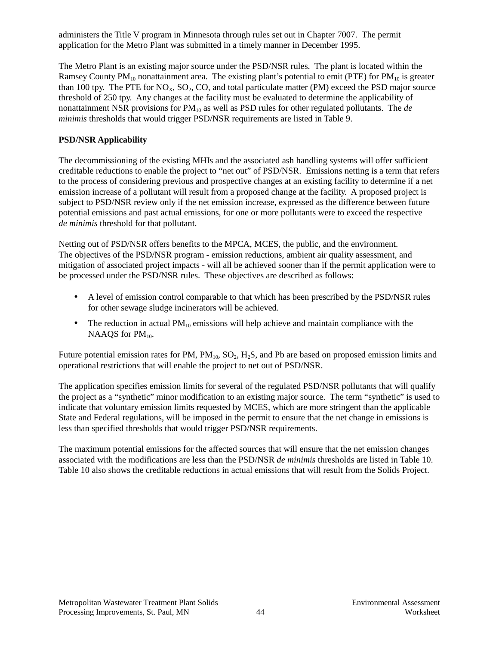administers the Title V program in Minnesota through rules set out in Chapter 7007. The permit application for the Metro Plant was submitted in a timely manner in December 1995.

The Metro Plant is an existing major source under the PSD/NSR rules. The plant is located within the Ramsey County  $PM_{10}$  nonattainment area. The existing plant's potential to emit (PTE) for  $PM_{10}$  is greater than 100 tpy. The PTE for  $NO<sub>x</sub>$ ,  $SO<sub>2</sub>$ ,  $CO$ , and total particulate matter (PM) exceed the PSD major source threshold of 250 tpy. Any changes at the facility must be evaluated to determine the applicability of nonattainment NSR provisions for PM<sub>10</sub> as well as PSD rules for other regulated pollutants. The *de minimis* thresholds that would trigger PSD/NSR requirements are listed in Table 9.

#### **PSD/NSR Applicability**

The decommissioning of the existing MHIs and the associated ash handling systems will offer sufficient creditable reductions to enable the project to "net out" of PSD/NSR. Emissions netting is a term that refers to the process of considering previous and prospective changes at an existing facility to determine if a net emission increase of a pollutant will result from a proposed change at the facility. A proposed project is subject to PSD/NSR review only if the net emission increase, expressed as the difference between future potential emissions and past actual emissions, for one or more pollutants were to exceed the respective *de minimis* threshold for that pollutant.

Netting out of PSD/NSR offers benefits to the MPCA, MCES, the public, and the environment. The objectives of the PSD/NSR program - emission reductions, ambient air quality assessment, and mitigation of associated project impacts - will all be achieved sooner than if the permit application were to be processed under the PSD/NSR rules. These objectives are described as follows:

- A level of emission control comparable to that which has been prescribed by the PSD/NSR rules for other sewage sludge incinerators will be achieved.
- The reduction in actual  $PM_{10}$  emissions will help achieve and maintain compliance with the NAAQS for  $PM_{10}$ .

Future potential emission rates for PM,  $PM_{10}$ ,  $SO_2$ ,  $H_2S$ , and Pb are based on proposed emission limits and operational restrictions that will enable the project to net out of PSD/NSR.

The application specifies emission limits for several of the regulated PSD/NSR pollutants that will qualify the project as a "synthetic" minor modification to an existing major source. The term "synthetic" is used to indicate that voluntary emission limits requested by MCES, which are more stringent than the applicable State and Federal regulations, will be imposed in the permit to ensure that the net change in emissions is less than specified thresholds that would trigger PSD/NSR requirements.

The maximum potential emissions for the affected sources that will ensure that the net emission changes associated with the modifications are less than the PSD/NSR *de minimis* thresholds are listed in Table 10. Table 10 also shows the creditable reductions in actual emissions that will result from the Solids Project.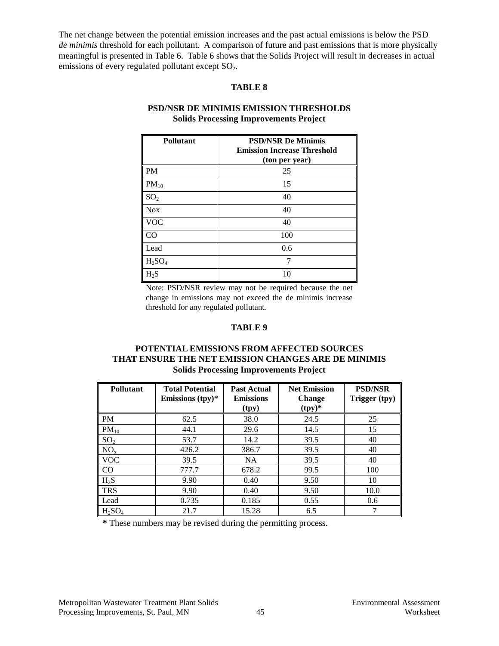The net change between the potential emission increases and the past actual emissions is below the PSD *de minimis* threshold for each pollutant. A comparison of future and past emissions that is more physically meaningful is presented in Table 6. Table 6 shows that the Solids Project will result in decreases in actual emissions of every regulated pollutant except  $SO_2$ .

#### **TABLE 8**

| <b>Pollutant</b> | <b>PSD/NSR De Minimis</b><br><b>Emission Increase Threshold</b><br>(ton per year) |
|------------------|-----------------------------------------------------------------------------------|
| <b>PM</b>        | 25                                                                                |
| $PM_{10}$        | 15                                                                                |
| SO <sub>2</sub>  | 40                                                                                |
| <b>Nox</b>       | 40                                                                                |
| VOC              | 40                                                                                |
| CO               | 100                                                                               |
| Lead             | 0.6                                                                               |
| $H_2SO_4$        | ℸ                                                                                 |
| $H_2S$           | 10                                                                                |

#### **PSD/NSR DE MINIMIS EMISSION THRESHOLDS Solids Processing Improvements Project**

Note: PSD/NSR review may not be required because the net change in emissions may not exceed the de minimis increase threshold for any regulated pollutant*.*

#### **TABLE 9**

#### **POTENTIAL EMISSIONS FROM AFFECTED SOURCES THAT ENSURE THE NET EMISSION CHANGES ARE DE MINIMIS Solids Processing Improvements Project**

| <b>Pollutant</b>               | <b>Total Potential</b><br>Emissions $(tpy)^*$ | <b>Past Actual</b><br><b>Emissions</b><br>(tpy) | <b>Net Emission</b><br><b>Change</b><br>$(tpy)^*$ | <b>PSD/NSR</b><br>Trigger (tpy) |
|--------------------------------|-----------------------------------------------|-------------------------------------------------|---------------------------------------------------|---------------------------------|
| PM                             | 62.5                                          | 38.0                                            | 24.5                                              | 25                              |
| $PM_{10}$                      | 44.1                                          | 29.6                                            | 14.5                                              | 15                              |
| SO <sub>2</sub>                | 53.7                                          | 14.2                                            | 39.5                                              | 40                              |
| NO <sub>x</sub>                | 426.2                                         | 386.7                                           | 39.5                                              | 40                              |
| <b>VOC</b>                     | 39.5                                          | <b>NA</b>                                       | 39.5                                              | 40                              |
| $\rm CO$                       | 777.7                                         | 678.2                                           | 99.5                                              | 100                             |
| $H_2S$                         | 9.90                                          | 0.40                                            | 9.50                                              | 10                              |
| <b>TRS</b>                     | 9.90                                          | 0.40                                            | 9.50                                              | 10.0                            |
| Lead                           | 0.735                                         | 0.185                                           | 0.55                                              | 0.6                             |
| H <sub>2</sub> SO <sub>4</sub> | 21.7                                          | 15.28                                           | 6.5                                               | ¬                               |

**\*** These numbers may be revised during the permitting process.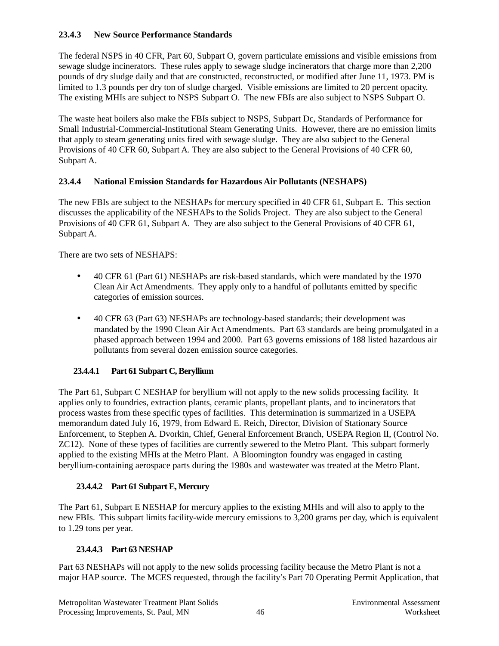# **23.4.3 New Source Performance Standards**

The federal NSPS in 40 CFR, Part 60, Subpart O, govern particulate emissions and visible emissions from sewage sludge incinerators. These rules apply to sewage sludge incinerators that charge more than 2,200 pounds of dry sludge daily and that are constructed, reconstructed, or modified after June 11, 1973. PM is limited to 1.3 pounds per dry ton of sludge charged. Visible emissions are limited to 20 percent opacity. The existing MHIs are subject to NSPS Subpart O. The new FBIs are also subject to NSPS Subpart O.

The waste heat boilers also make the FBIs subject to NSPS, Subpart Dc, Standards of Performance for Small Industrial-Commercial-Institutional Steam Generating Units. However, there are no emission limits that apply to steam generating units fired with sewage sludge. They are also subject to the General Provisions of 40 CFR 60, Subpart A. They are also subject to the General Provisions of 40 CFR 60, Subpart A.

# **23.4.4 National Emission Standards for Hazardous Air Pollutants (NESHAPS)**

The new FBIs are subject to the NESHAPs for mercury specified in 40 CFR 61, Subpart E. This section discusses the applicability of the NESHAPs to the Solids Project. They are also subject to the General Provisions of 40 CFR 61, Subpart A. They are also subject to the General Provisions of 40 CFR 61, Subpart A.

There are two sets of NESHAPS:

- 40 CFR 61 (Part 61) NESHAPs are risk-based standards, which were mandated by the 1970 Clean Air Act Amendments. They apply only to a handful of pollutants emitted by specific categories of emission sources.
- 40 CFR 63 (Part 63) NESHAPs are technology-based standards; their development was mandated by the 1990 Clean Air Act Amendments. Part 63 standards are being promulgated in a phased approach between 1994 and 2000. Part 63 governs emissions of 188 listed hazardous air pollutants from several dozen emission source categories.

# **23.4.4.1 Part 61 Subpart C, Beryllium**

The Part 61, Subpart C NESHAP for beryllium will not apply to the new solids processing facility. It applies only to foundries, extraction plants, ceramic plants, propellant plants, and to incinerators that process wastes from these specific types of facilities. This determination is summarized in a USEPA memorandum dated July 16, 1979, from Edward E. Reich, Director, Division of Stationary Source Enforcement, to Stephen A. Dvorkin, Chief, General Enforcement Branch, USEPA Region II, (Control No. ZC12). None of these types of facilities are currently sewered to the Metro Plant. This subpart formerly applied to the existing MHIs at the Metro Plant. A Bloomington foundry was engaged in casting beryllium-containing aerospace parts during the 1980s and wastewater was treated at the Metro Plant.

#### **23.4.4.2 Part 61 Subpart E, Mercury**

The Part 61, Subpart E NESHAP for mercury applies to the existing MHIs and will also to apply to the new FBIs. This subpart limits facility-wide mercury emissions to 3,200 grams per day, which is equivalent to 1.29 tons per year.

# **23.4.4.3 Part 63 NESHAP**

Part 63 NESHAPs will not apply to the new solids processing facility because the Metro Plant is not a major HAP source. The MCES requested, through the facility's Part 70 Operating Permit Application, that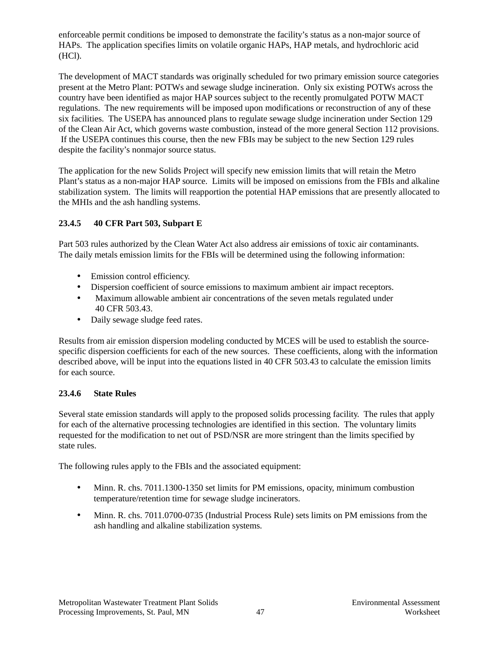enforceable permit conditions be imposed to demonstrate the facility's status as a non-major source of HAPs. The application specifies limits on volatile organic HAPs, HAP metals, and hydrochloric acid (HCl).

The development of MACT standards was originally scheduled for two primary emission source categories present at the Metro Plant: POTWs and sewage sludge incineration. Only six existing POTWs across the country have been identified as major HAP sources subject to the recently promulgated POTW MACT regulations. The new requirements will be imposed upon modifications or reconstruction of any of these six facilities. The USEPA has announced plans to regulate sewage sludge incineration under Section 129 of the Clean Air Act, which governs waste combustion, instead of the more general Section 112 provisions. If the USEPA continues this course, then the new FBIs may be subject to the new Section 129 rules despite the facility's nonmajor source status.

The application for the new Solids Project will specify new emission limits that will retain the Metro Plant's status as a non-major HAP source. Limits will be imposed on emissions from the FBIs and alkaline stabilization system. The limits will reapportion the potential HAP emissions that are presently allocated to the MHIs and the ash handling systems.

## **23.4.5 40 CFR Part 503, Subpart E**

Part 503 rules authorized by the Clean Water Act also address air emissions of toxic air contaminants. The daily metals emission limits for the FBIs will be determined using the following information:

- Emission control efficiency.
- Dispersion coefficient of source emissions to maximum ambient air impact receptors.
- Maximum allowable ambient air concentrations of the seven metals regulated under 40 CFR 503.43.
- Daily sewage sludge feed rates.

Results from air emission dispersion modeling conducted by MCES will be used to establish the sourcespecific dispersion coefficients for each of the new sources. These coefficients, along with the information described above, will be input into the equations listed in 40 CFR 503.43 to calculate the emission limits for each source.

#### **23.4.6 State Rules**

Several state emission standards will apply to the proposed solids processing facility. The rules that apply for each of the alternative processing technologies are identified in this section. The voluntary limits requested for the modification to net out of PSD/NSR are more stringent than the limits specified by state rules.

The following rules apply to the FBIs and the associated equipment:

- Minn. R. chs. 7011.1300-1350 set limits for PM emissions, opacity, minimum combustion temperature/retention time for sewage sludge incinerators.
- Minn. R. chs. 7011.0700-0735 (Industrial Process Rule) sets limits on PM emissions from the ash handling and alkaline stabilization systems.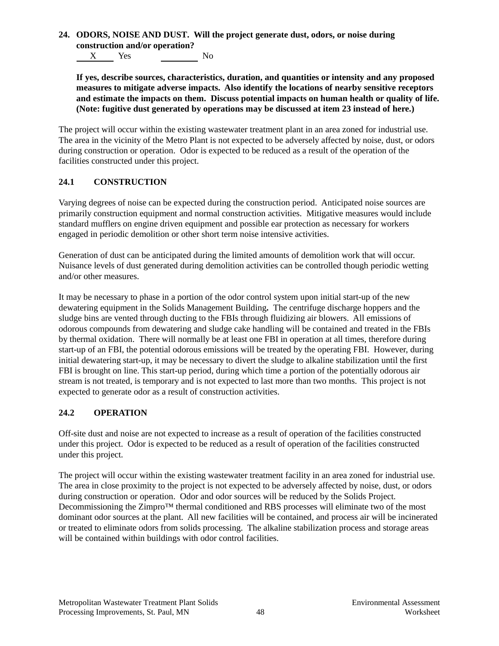**24. ODORS, NOISE AND DUST. Will the project generate dust, odors, or noise during construction and/or operation?**

X Yes No

**If yes, describe sources, characteristics, duration, and quantities or intensity and any proposed measures to mitigate adverse impacts. Also identify the locations of nearby sensitive receptors and estimate the impacts on them. Discuss potential impacts on human health or quality of life. (Note: fugitive dust generated by operations may be discussed at item 23 instead of here.)**

The project will occur within the existing wastewater treatment plant in an area zoned for industrial use. The area in the vicinity of the Metro Plant is not expected to be adversely affected by noise, dust, or odors during construction or operation. Odor is expected to be reduced as a result of the operation of the facilities constructed under this project.

# **24.1 CONSTRUCTION**

Varying degrees of noise can be expected during the construction period. Anticipated noise sources are primarily construction equipment and normal construction activities. Mitigative measures would include standard mufflers on engine driven equipment and possible ear protection as necessary for workers engaged in periodic demolition or other short term noise intensive activities.

Generation of dust can be anticipated during the limited amounts of demolition work that will occur. Nuisance levels of dust generated during demolition activities can be controlled though periodic wetting and/or other measures.

It may be necessary to phase in a portion of the odor control system upon initial start-up of the new dewatering equipment in the Solids Management Building**.** The centrifuge discharge hoppers and the sludge bins are vented through ducting to the FBIs through fluidizing air blowers. All emissions of odorous compounds from dewatering and sludge cake handling will be contained and treated in the FBIs by thermal oxidation. There will normally be at least one FBI in operation at all times, therefore during start-up of an FBI, the potential odorous emissions will be treated by the operating FBI. However, during initial dewatering start-up, it may be necessary to divert the sludge to alkaline stabilization until the first FBI is brought on line. This start-up period, during which time a portion of the potentially odorous air stream is not treated, is temporary and is not expected to last more than two months. This project is not expected to generate odor as a result of construction activities.

# **24.2 OPERATION**

Off-site dust and noise are not expected to increase as a result of operation of the facilities constructed under this project. Odor is expected to be reduced as a result of operation of the facilities constructed under this project.

The project will occur within the existing wastewater treatment facility in an area zoned for industrial use. The area in close proximity to the project is not expected to be adversely affected by noise, dust, or odors during construction or operation. Odor and odor sources will be reduced by the Solids Project. Decommissioning the Zimpro<sup>™</sup> thermal conditioned and RBS processes will eliminate two of the most dominant odor sources at the plant. All new facilities will be contained, and process air will be incinerated or treated to eliminate odors from solids processing. The alkaline stabilization process and storage areas will be contained within buildings with odor control facilities.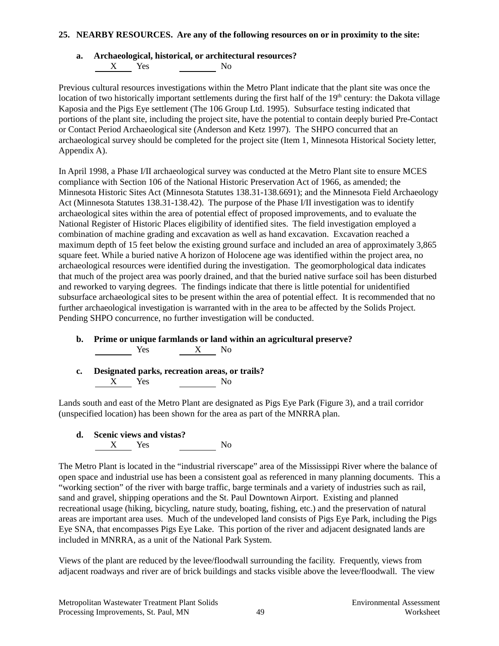#### **25. NEARBY RESOURCES. Are any of the following resources on or in proximity to the site:**

# **a. Archaeological, historical, or architectural resources?**

X Yes No

Previous cultural resources investigations within the Metro Plant indicate that the plant site was once the location of two historically important settlements during the first half of the  $19<sup>th</sup>$  century: the Dakota village Kaposia and the Pigs Eye settlement (The 106 Group Ltd. 1995). Subsurface testing indicated that portions of the plant site, including the project site, have the potential to contain deeply buried Pre-Contact or Contact Period Archaeological site (Anderson and Ketz 1997). The SHPO concurred that an archaeological survey should be completed for the project site (Item 1, Minnesota Historical Society letter, Appendix A).

In April 1998, a Phase I/II archaeological survey was conducted at the Metro Plant site to ensure MCES compliance with Section 106 of the National Historic Preservation Act of 1966, as amended; the Minnesota Historic Sites Act (Minnesota Statutes 138.31-138.6691); and the Minnesota Field Archaeology Act (Minnesota Statutes 138.31-138.42). The purpose of the Phase I/II investigation was to identify archaeological sites within the area of potential effect of proposed improvements, and to evaluate the National Register of Historic Places eligibility of identified sites. The field investigation employed a combination of machine grading and excavation as well as hand excavation. Excavation reached a maximum depth of 15 feet below the existing ground surface and included an area of approximately 3,865 square feet. While a buried native A horizon of Holocene age was identified within the project area, no archaeological resources were identified during the investigation. The geomorphological data indicates that much of the project area was poorly drained, and that the buried native surface soil has been disturbed and reworked to varying degrees. The findings indicate that there is little potential for unidentified subsurface archaeological sites to be present within the area of potential effect. It is recommended that no further archaeological investigation is warranted with in the area to be affected by the Solids Project. Pending SHPO concurrence, no further investigation will be conducted.

- **b. Prime or unique farmlands or land within an agricultural preserve?**  $\begin{array}{ccc} \text{Yes} & \text{X} & \text{No} \end{array}$
- **c. Designated parks, recreation areas, or trails?** X Yes No

Lands south and east of the Metro Plant are designated as Pigs Eye Park (Figure 3), and a trail corridor (unspecified location) has been shown for the area as part of the MNRRA plan.

**d. Scenic views and vistas?**  $X$  Yes No

The Metro Plant is located in the "industrial riverscape" area of the Mississippi River where the balance of open space and industrial use has been a consistent goal as referenced in many planning documents. This a "working section" of the river with barge traffic, barge terminals and a variety of industries such as rail, sand and gravel, shipping operations and the St. Paul Downtown Airport. Existing and planned recreational usage (hiking, bicycling, nature study, boating, fishing, etc.) and the preservation of natural areas are important area uses. Much of the undeveloped land consists of Pigs Eye Park, including the Pigs Eye SNA, that encompasses Pigs Eye Lake. This portion of the river and adjacent designated lands are included in MNRRA, as a unit of the National Park System.

Views of the plant are reduced by the levee/floodwall surrounding the facility. Frequently, views from adjacent roadways and river are of brick buildings and stacks visible above the levee/floodwall. The view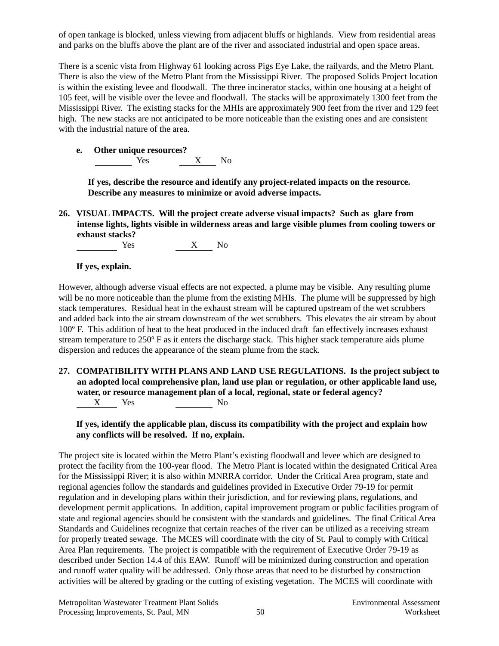of open tankage is blocked, unless viewing from adjacent bluffs or highlands. View from residential areas and parks on the bluffs above the plant are of the river and associated industrial and open space areas.

There is a scenic vista from Highway 61 looking across Pigs Eye Lake, the railyards, and the Metro Plant. There is also the view of the Metro Plant from the Mississippi River. The proposed Solids Project location is within the existing levee and floodwall. The three incinerator stacks, within one housing at a height of 105 feet, will be visible over the levee and floodwall. The stacks will be approximately 1300 feet from the Mississippi River. The existing stacks for the MHIs are approximately 900 feet from the river and 129 feet high. The new stacks are not anticipated to be more noticeable than the existing ones and are consistent with the industrial nature of the area.

**e. Other unique resources?** Yes X No

**If yes, describe the resource and identify any project-related impacts on the resource. Describe any measures to minimize or avoid adverse impacts.**

**26. VISUAL IMPACTS. Will the project create adverse visual impacts? Such as glare from intense lights, lights visible in wilderness areas and large visible plumes from cooling towers or exhaust stacks?**

| Yes | No |
|-----|----|
|     |    |

#### **If yes, explain.**

However, although adverse visual effects are not expected, a plume may be visible. Any resulting plume will be no more noticeable than the plume from the existing MHIs. The plume will be suppressed by high stack temperatures. Residual heat in the exhaust stream will be captured upstream of the wet scrubbers and added back into the air stream downstream of the wet scrubbers. This elevates the air stream by about 100º F. This addition of heat to the heat produced in the induced draft fan effectively increases exhaust stream temperature to 250º F as it enters the discharge stack. This higher stack temperature aids plume dispersion and reduces the appearance of the steam plume from the stack.

**27. COMPATIBILITY WITH PLANS AND LAND USE REGULATIONS. Is the project subject to an adopted local comprehensive plan, land use plan or regulation, or other applicable land use, water, or resource management plan of a local, regional, state or federal agency?** X Yes No

**If yes, identify the applicable plan, discuss its compatibility with the project and explain how any conflicts will be resolved. If no, explain.**

The project site is located within the Metro Plant's existing floodwall and levee which are designed to protect the facility from the 100-year flood. The Metro Plant is located within the designated Critical Area for the Mississippi River; it is also within MNRRA corridor.Under the Critical Area program, state and regional agencies follow the standards and guidelines provided in Executive Order 79-19 for permit regulation and in developing plans within their jurisdiction, and for reviewing plans, regulations, and development permit applications. In addition, capital improvement program or public facilities program of state and regional agencies should be consistent with the standards and guidelines. The final Critical Area Standards and Guidelines recognize that certain reaches of the river can be utilized as a receiving stream for properly treated sewage. The MCES will coordinate with the city of St. Paul to comply with Critical Area Plan requirements. The project is compatible with the requirement of Executive Order 79-19 as described under Section 14.4 of this EAW. Runoff will be minimized during construction and operation and runoff water quality will be addressed. Only those areas that need to be disturbed by construction activities will be altered by grading or the cutting of existing vegetation. The MCES will coordinate with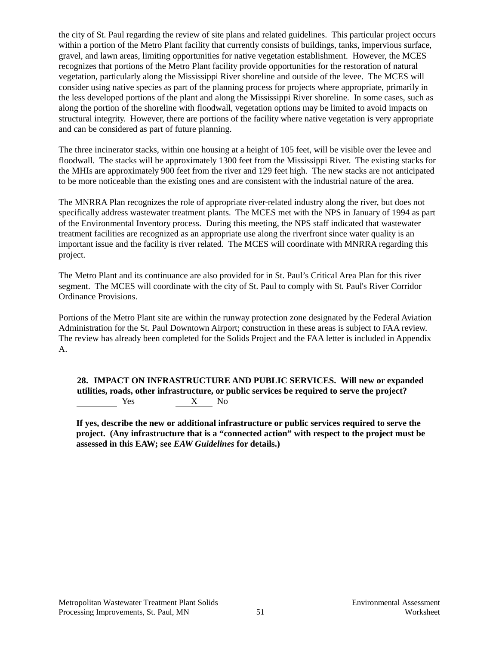the city of St. Paul regarding the review of site plans and related guidelines. This particular project occurs within a portion of the Metro Plant facility that currently consists of buildings, tanks, impervious surface, gravel, and lawn areas, limiting opportunities for native vegetation establishment. However, the MCES recognizes that portions of the Metro Plant facility provide opportunities for the restoration of natural vegetation, particularly along the Mississippi River shoreline and outside of the levee. The MCES will consider using native species as part of the planning process for projects where appropriate, primarily in the less developed portions of the plant and along the Mississippi River shoreline. In some cases, such as along the portion of the shoreline with floodwall, vegetation options may be limited to avoid impacts on structural integrity. However, there are portions of the facility where native vegetation is very appropriate and can be considered as part of future planning.

The three incinerator stacks, within one housing at a height of 105 feet, will be visible over the levee and floodwall. The stacks will be approximately 1300 feet from the Mississippi River. The existing stacks for the MHIs are approximately 900 feet from the river and 129 feet high. The new stacks are not anticipated to be more noticeable than the existing ones and are consistent with the industrial nature of the area.

The MNRRA Plan recognizes the role of appropriate river-related industry along the river, but does not specifically address wastewater treatment plants. The MCES met with the NPS in January of 1994 as part of the Environmental Inventory process. During this meeting, the NPS staff indicated that wastewater treatment facilities are recognized as an appropriate use along the riverfront since water quality is an important issue and the facility is river related. The MCES will coordinate with MNRRA regarding this project.

The Metro Plant and its continuance are also provided for in St. Paul's Critical Area Plan for this river segment. The MCES will coordinate with the city of St. Paul to comply with St. Paul's River Corridor Ordinance Provisions.

Portions of the Metro Plant site are within the runway protection zone designated by the Federal Aviation Administration for the St. Paul Downtown Airport; construction in these areas is subject to FAA review. The review has already been completed for the Solids Project and the FAA letter is included in Appendix A.

#### **28. IMPACT ON INFRASTRUCTURE AND PUBLIC SERVICES. Will new or expanded utilities, roads, other infrastructure, or public services be required to serve the project?** Yes X No

**If yes, describe the new or additional infrastructure or public services required to serve the project. (Any infrastructure that is a "connected action" with respect to the project must be assessed in this EAW; see** *EAW Guidelines* **for details.)**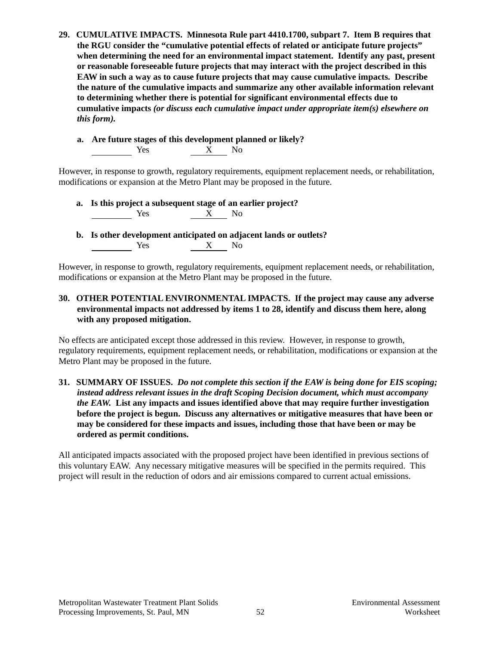- **29. CUMULATIVE IMPACTS. Minnesota Rule part 4410.1700, subpart 7. Item B requires that the RGU consider the "cumulative potential effects of related or anticipate future projects" when determining the need for an environmental impact statement. Identify any past, present or reasonable foreseeable future projects that may interact with the project described in this EAW in such a way as to cause future projects that may cause cumulative impacts. Describe the nature of the cumulative impacts and summarize any other available information relevant to determining whether there is potential for significant environmental effects due to cumulative impacts** *(or discuss each cumulative impact under appropriate item(s) elsewhere on this form).*
	- **a. Are future stages of this development planned or likely?** Yes X No

However, in response to growth, regulatory requirements, equipment replacement needs, or rehabilitation, modifications or expansion at the Metro Plant may be proposed in the future.

- **a. Is this project a subsequent stage of an earlier project?**  $\overline{X}$  No
- **b. Is other development anticipated on adjacent lands or outlets?** Yes X No

However, in response to growth, regulatory requirements, equipment replacement needs, or rehabilitation, modifications or expansion at the Metro Plant may be proposed in the future.

#### **30. OTHER POTENTIAL ENVIRONMENTAL IMPACTS. If the project may cause any adverse environmental impacts not addressed by items 1 to 28, identify and discuss them here, along with any proposed mitigation.**

No effects are anticipated except those addressed in this review. However, in response to growth, regulatory requirements, equipment replacement needs, or rehabilitation, modifications or expansion at the Metro Plant may be proposed in the future.

#### **31. SUMMARY OF ISSUES.** *Do not complete this section if the EAW is being done for EIS scoping; instead address relevant issues in the draft Scoping Decision document, which must accompany the EAW.* **List any impacts and issues identified above that may require further investigation before the project is begun. Discuss any alternatives or mitigative measures that have been or may be considered for these impacts and issues, including those that have been or may be ordered as permit conditions.**

All anticipated impacts associated with the proposed project have been identified in previous sections of this voluntary EAW. Any necessary mitigative measures will be specified in the permits required. This project will result in the reduction of odors and air emissions compared to current actual emissions.